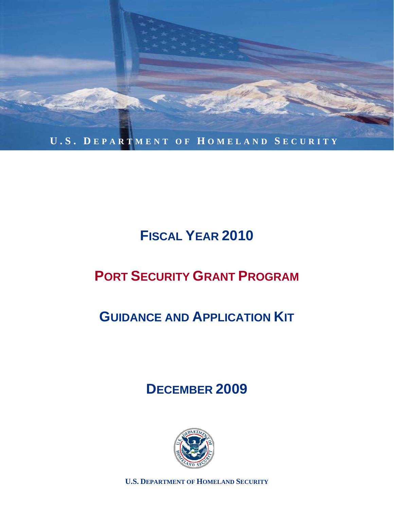

# **FISCAL YEAR 2010**

# **PORT SECURITY GRANT PROGRAM**

# **GUIDANCE AND APPLICATION KIT**

## **DECEMBER 2009**



**U.S. DEPARTMENT OF HOMELAND SECURITY**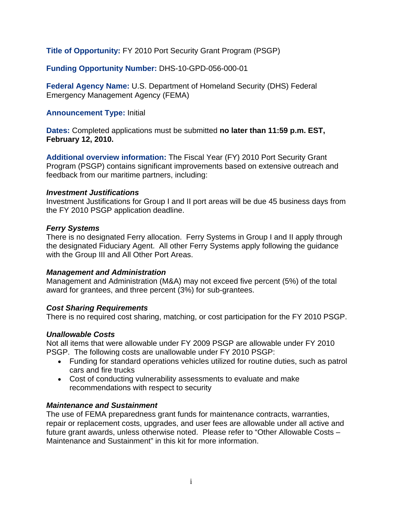**Title of Opportunity:** FY 2010 Port Security Grant Program (PSGP)

**Funding Opportunity Number:** DHS-10-GPD-056-000-01

**Federal Agency Name:** U.S. Department of Homeland Security (DHS) Federal Emergency Management Agency (FEMA)

## **Announcement Type:** Initial

**Dates:** Completed applications must be submitted **no later than 11:59 p.m. EST, February 12, 2010.** 

**Additional overview information:** The Fiscal Year (FY) 2010 Port Security Grant Program (PSGP) contains significant improvements based on extensive outreach and feedback from our maritime partners, including:

#### *Investment Justifications*

Investment Justifications for Group I and II port areas will be due 45 business days from the FY 2010 PSGP application deadline.

### *Ferry Systems*

There is no designated Ferry allocation. Ferry Systems in Group I and II apply through the designated Fiduciary Agent. All other Ferry Systems apply following the guidance with the Group III and All Other Port Areas.

### *Management and Administration*

Management and Administration (M&A) may not exceed five percent (5%) of the total award for grantees, and three percent (3%) for sub-grantees.

### *Cost Sharing Requirements*

There is no required cost sharing, matching, or cost participation for the FY 2010 PSGP.

### *Unallowable Costs*

Not all items that were allowable under FY 2009 PSGP are allowable under FY 2010 PSGP. The following costs are unallowable under FY 2010 PSGP:

- Funding for standard operations vehicles utilized for routine duties, such as patrol cars and fire trucks
- Cost of conducting vulnerability assessments to evaluate and make recommendations with respect to security

### *Maintenance and Sustainment*

The use of FEMA preparedness grant funds for maintenance contracts, warranties, repair or replacement costs, upgrades, and user fees are allowable under all active and future grant awards, unless otherwise noted. Please refer to "Other Allowable Costs – Maintenance and Sustainment" in this kit for more information.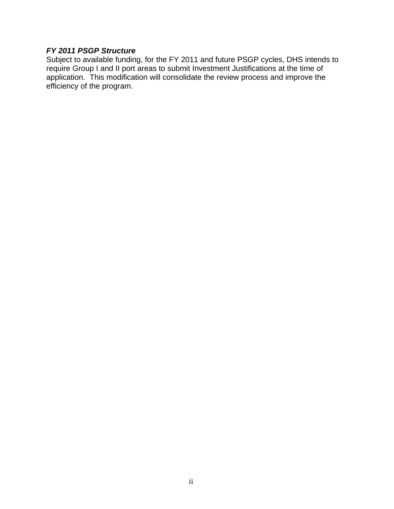## *FY 2011 PSGP Structure*

Subject to available funding, for the FY 2011 and future PSGP cycles, DHS intends to require Group I and II port areas to submit Investment Justifications at the time of application. This modification will consolidate the review process and improve the efficiency of the program.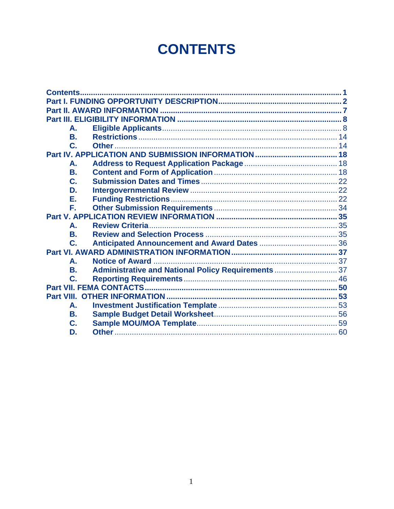# **CONTENTS**

| А.             |                                                     |  |
|----------------|-----------------------------------------------------|--|
| В.             |                                                     |  |
| C.             |                                                     |  |
|                |                                                     |  |
| А.             |                                                     |  |
| В.             |                                                     |  |
| C.             |                                                     |  |
| D.             |                                                     |  |
| Е.             |                                                     |  |
| F.             |                                                     |  |
|                |                                                     |  |
| А.             |                                                     |  |
| <b>B.</b>      |                                                     |  |
| $\mathbf{C}$ . |                                                     |  |
|                |                                                     |  |
| А.             |                                                     |  |
| В.             | Administrative and National Policy Requirements  37 |  |
| $\mathbf{C}$ . |                                                     |  |
|                |                                                     |  |
|                |                                                     |  |
| А.             |                                                     |  |
| В.             |                                                     |  |
| C.             |                                                     |  |
| D.             |                                                     |  |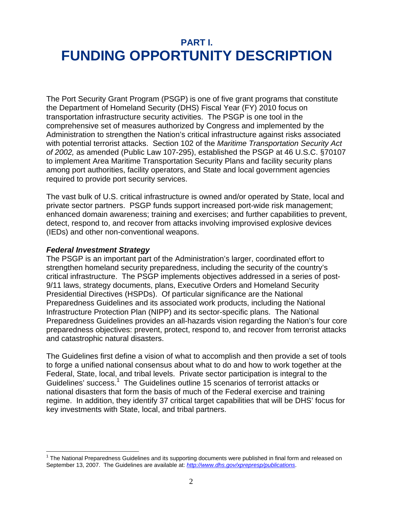## **PART I. FUNDING OPPORTUNITY DESCRIPTION**

The Port Security Grant Program (PSGP) is one of five grant programs that constitute the Department of Homeland Security (DHS) Fiscal Year (FY) 2010 focus on transportation infrastructure security activities. The PSGP is one tool in the comprehensive set of measures authorized by Congress and implemented by the Administration to strengthen the Nation's critical infrastructure against risks associated with potential terrorist attacks. Section 102 of the *Maritime Transportation Security Act of 2002,* as amended (Public Law 107-295), established the PSGP at 46 U.S.C. §70107 to implement Area Maritime Transportation Security Plans and facility security plans among port authorities, facility operators, and State and local government agencies required to provide port security services.

The vast bulk of U.S. critical infrastructure is owned and/or operated by State, local and private sector partners. PSGP funds support increased port-wide risk management; enhanced domain awareness; training and exercises; and further capabilities to prevent, detect, respond to, and recover from attacks involving improvised explosive devices (IEDs) and other non-conventional weapons.

### *Federal Investment Strategy*

 $\overline{a}$ 

The PSGP is an important part of the Administration's larger, coordinated effort to strengthen homeland security preparedness, including the security of the country's critical infrastructure. The PSGP implements objectives addressed in a series of post-9/11 laws, strategy documents, plans, Executive Orders and Homeland Security Presidential Directives (HSPDs). Of particular significance are the National Preparedness Guidelines and its associated work products, including the National Infrastructure Protection Plan (NIPP) and its sector-specific plans. The National Preparedness Guidelines provides an all-hazards vision regarding the Nation's four core preparedness objectives: prevent, protect, respond to, and recover from terrorist attacks and catastrophic natural disasters.

The Guidelines first define a vision of what to accomplish and then provide a set of tools to forge a unified national consensus about what to do and how to work together at the Federal, State, local, and tribal levels. Private sector participation is integral to the Guidelines' success.<sup>1</sup> The Guidelines outline 15 scenarios of terrorist attacks or national disasters that form the basis of much of the Federal exercise and training regime. In addition, they identify 37 critical target capabilities that will be DHS' focus for key investments with State, local, and tribal partners.

<sup>&</sup>lt;sup>1</sup> The National Preparedness Guidelines and its supporting documents were published in final form and released on September 13, 2007. The Guidelines are available at: *http://www.dhs.gov/xprepresp/publications*.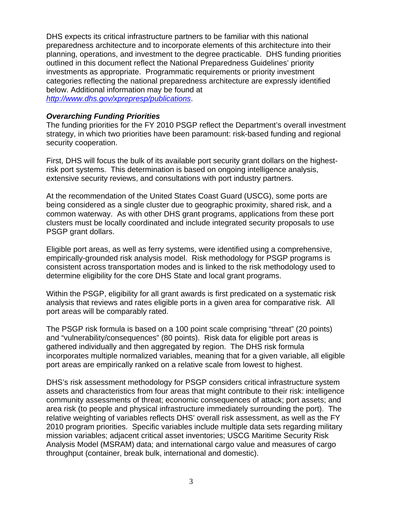DHS expects its critical infrastructure partners to be familiar with this national preparedness architecture and to incorporate elements of this architecture into their planning, operations, and investment to the degree practicable. DHS funding priorities outlined in this document reflect the National Preparedness Guidelines' priority investments as appropriate. Programmatic requirements or priority investment categories reflecting the national preparedness architecture are expressly identified below. Additional information may be found at *http://www.dhs.gov/xprepresp/publications*.

### *Overarching Funding Priorities*

The funding priorities for the FY 2010 PSGP reflect the Department's overall investment strategy, in which two priorities have been paramount: risk-based funding and regional security cooperation.

First, DHS will focus the bulk of its available port security grant dollars on the highestrisk port systems. This determination is based on ongoing intelligence analysis, extensive security reviews, and consultations with port industry partners.

At the recommendation of the United States Coast Guard (USCG), some ports are being considered as a single cluster due to geographic proximity, shared risk, and a common waterway. As with other DHS grant programs, applications from these port clusters must be locally coordinated and include integrated security proposals to use PSGP grant dollars.

Eligible port areas, as well as ferry systems, were identified using a comprehensive, empirically-grounded risk analysis model. Risk methodology for PSGP programs is consistent across transportation modes and is linked to the risk methodology used to determine eligibility for the core DHS State and local grant programs.

Within the PSGP, eligibility for all grant awards is first predicated on a systematic risk analysis that reviews and rates eligible ports in a given area for comparative risk. All port areas will be comparably rated.

The PSGP risk formula is based on a 100 point scale comprising "threat" (20 points) and "vulnerability/consequences" (80 points). Risk data for eligible port areas is gathered individually and then aggregated by region. The DHS risk formula incorporates multiple normalized variables, meaning that for a given variable, all eligible port areas are empirically ranked on a relative scale from lowest to highest.

DHS's risk assessment methodology for PSGP considers critical infrastructure system assets and characteristics from four areas that might contribute to their risk: intelligence community assessments of threat; economic consequences of attack; port assets; and area risk (to people and physical infrastructure immediately surrounding the port). The relative weighting of variables reflects DHS' overall risk assessment, as well as the FY 2010 program priorities. Specific variables include multiple data sets regarding military mission variables; adjacent critical asset inventories; USCG Maritime Security Risk Analysis Model (MSRAM) data; and international cargo value and measures of cargo throughput (container, break bulk, international and domestic).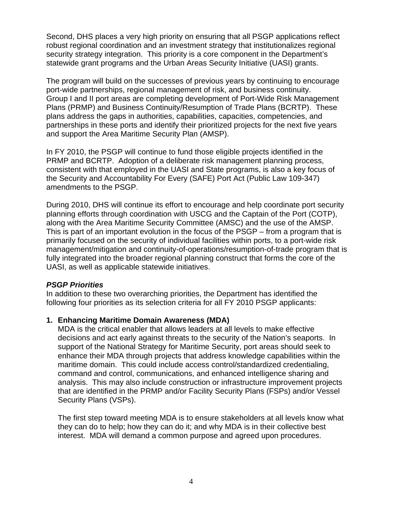Second, DHS places a very high priority on ensuring that all PSGP applications reflect robust regional coordination and an investment strategy that institutionalizes regional security strategy integration. This priority is a core component in the Department's statewide grant programs and the Urban Areas Security Initiative (UASI) grants.

The program will build on the successes of previous years by continuing to encourage port-wide partnerships, regional management of risk, and business continuity. Group I and II port areas are completing development of Port-Wide Risk Management Plans (PRMP) and Business Continuity/Resumption of Trade Plans (BCRTP). These plans address the gaps in authorities, capabilities, capacities, competencies, and partnerships in these ports and identify their prioritized projects for the next five years and support the Area Maritime Security Plan (AMSP).

In FY 2010, the PSGP will continue to fund those eligible projects identified in the PRMP and BCRTP. Adoption of a deliberate risk management planning process, consistent with that employed in the UASI and State programs, is also a key focus of the Security and Accountability For Every (SAFE) Port Act (Public Law 109-347) amendments to the PSGP.

During 2010, DHS will continue its effort to encourage and help coordinate port security planning efforts through coordination with USCG and the Captain of the Port (COTP), along with the Area Maritime Security Committee (AMSC) and the use of the AMSP. This is part of an important evolution in the focus of the PSGP – from a program that is primarily focused on the security of individual facilities within ports, to a port-wide risk management/mitigation and continuity-of-operations/resumption-of-trade program that is fully integrated into the broader regional planning construct that forms the core of the UASI, as well as applicable statewide initiatives.

### *PSGP Priorities*

In addition to these two overarching priorities, the Department has identified the following four priorities as its selection criteria for all FY 2010 PSGP applicants:

## **1. Enhancing Maritime Domain Awareness (MDA)**

MDA is the critical enabler that allows leaders at all levels to make effective decisions and act early against threats to the security of the Nation's seaports. In support of the National Strategy for Maritime Security, port areas should seek to enhance their MDA through projects that address knowledge capabilities within the maritime domain. This could include access control/standardized credentialing, command and control, communications, and enhanced intelligence sharing and analysis. This may also include construction or infrastructure improvement projects that are identified in the PRMP and/or Facility Security Plans (FSPs) and/or Vessel Security Plans (VSPs).

The first step toward meeting MDA is to ensure stakeholders at all levels know what they can do to help; how they can do it; and why MDA is in their collective best interest. MDA will demand a common purpose and agreed upon procedures.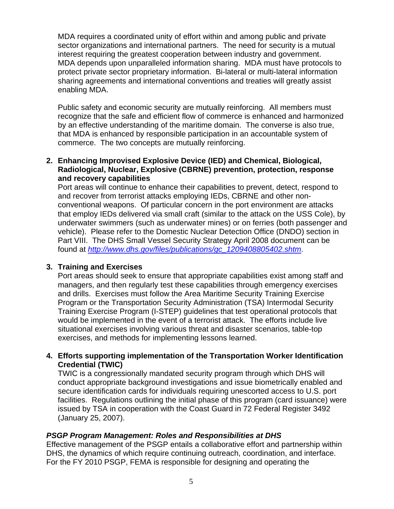MDA requires a coordinated unity of effort within and among public and private sector organizations and international partners. The need for security is a mutual interest requiring the greatest cooperation between industry and government. MDA depends upon unparalleled information sharing. MDA must have protocols to protect private sector proprietary information. Bi-lateral or multi-lateral information sharing agreements and international conventions and treaties will greatly assist enabling MDA.

Public safety and economic security are mutually reinforcing. All members must recognize that the safe and efficient flow of commerce is enhanced and harmonized by an effective understanding of the maritime domain. The converse is also true, that MDA is enhanced by responsible participation in an accountable system of commerce. The two concepts are mutually reinforcing.

## **2. Enhancing Improvised Explosive Device (IED) and Chemical, Biological, Radiological, Nuclear, Explosive (CBRNE) prevention, protection, response and recovery capabilities**

Port areas will continue to enhance their capabilities to prevent, detect, respond to and recover from terrorist attacks employing IEDs, CBRNE and other nonconventional weapons. Of particular concern in the port environment are attacks that employ IEDs delivered via small craft (similar to the attack on the USS Cole), by underwater swimmers (such as underwater mines) or on ferries (both passenger and vehicle). Please refer to the Domestic Nuclear Detection Office (DNDO) section in Part VIII. The DHS Small Vessel Security Strategy April 2008 document can be found at *http://www.dhs.gov/files/publications/gc\_1209408805402.shtm*.

### **3. Training and Exercises**

Port areas should seek to ensure that appropriate capabilities exist among staff and managers, and then regularly test these capabilities through emergency exercises and drills. Exercises must follow the Area Maritime Security Training Exercise Program or the Transportation Security Administration (TSA) Intermodal Security Training Exercise Program (I-STEP) guidelines that test operational protocols that would be implemented in the event of a terrorist attack. The efforts include live situational exercises involving various threat and disaster scenarios, table-top exercises, and methods for implementing lessons learned.

## **4. Efforts supporting implementation of the Transportation Worker Identification Credential (TWIC)**

TWIC is a congressionally mandated security program through which DHS will conduct appropriate background investigations and issue biometrically enabled and secure identification cards for individuals requiring unescorted access to U.S. port facilities. Regulations outlining the initial phase of this program (card issuance) were issued by TSA in cooperation with the Coast Guard in 72 Federal Register 3492 (January 25, 2007).

### *PSGP Program Management: Roles and Responsibilities at DHS*

Effective management of the PSGP entails a collaborative effort and partnership within DHS, the dynamics of which require continuing outreach, coordination, and interface. For the FY 2010 PSGP, FEMA is responsible for designing and operating the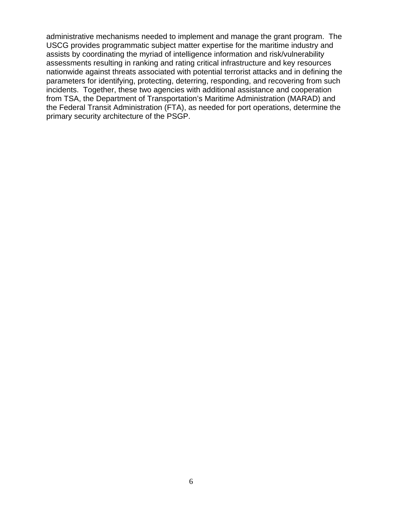administrative mechanisms needed to implement and manage the grant program. The USCG provides programmatic subject matter expertise for the maritime industry and assists by coordinating the myriad of intelligence information and risk/vulnerability assessments resulting in ranking and rating critical infrastructure and key resources nationwide against threats associated with potential terrorist attacks and in defining the parameters for identifying, protecting, deterring, responding, and recovering from such incidents. Together, these two agencies with additional assistance and cooperation from TSA, the Department of Transportation's Maritime Administration (MARAD) and the Federal Transit Administration (FTA), as needed for port operations, determine the primary security architecture of the PSGP.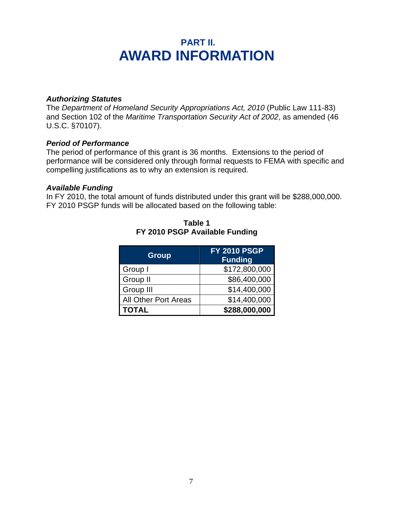## **PART II. AWARD INFORMATION**

## *Authorizing Statutes*

The *Department of Homeland Security Appropriations Act, 2010* (Public Law 111-83) and Section 102 of the *Maritime Transportation Security Act of 2002*, as amended (46 U.S.C. §70107).

### *Period of Performance*

The period of performance of this grant is 36 months. Extensions to the period of performance will be considered only through formal requests to FEMA with specific and compelling justifications as to why an extension is required.

#### *Available Funding*

In FY 2010, the total amount of funds distributed under this grant will be \$288,000,000. FY 2010 PSGP funds will be allocated based on the following table:

| <b>Group</b>                | <b>FY 2010 PSGP</b><br><b>Funding</b> |
|-----------------------------|---------------------------------------|
| Group I                     | \$172,800,000                         |
| Group II                    | \$86,400,000                          |
| Group III                   | \$14,400,000                          |
| <b>All Other Port Areas</b> | \$14,400,000                          |
| <b>TOTAL</b>                | \$288,000,000                         |

**Table 1 FY 2010 PSGP Available Funding**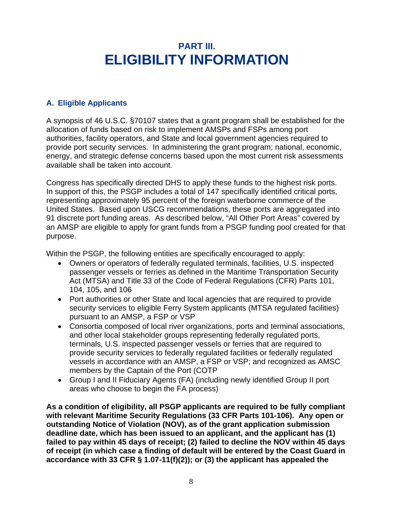## **PART III. ELIGIBILITY INFORMATION**

## **A. Eligible Applicants**

A synopsis of 46 U.S.C. §70107 states that a grant program shall be established for the allocation of funds based on risk to implement AMSPs and FSPs among port authorities, facility operators, and State and local government agencies required to provide port security services. In administering the grant program; national, economic, energy, and strategic defense concerns based upon the most current risk assessments available shall be taken into account.

Congress has specifically directed DHS to apply these funds to the highest risk ports. In support of this, the PSGP includes a total of 147 specifically identified critical ports, representing approximately 95 percent of the foreign waterborne commerce of the United States. Based upon USCG recommendations, these ports are aggregated into 91 discrete port funding areas. As described below, "All Other Port Areas" covered by an AMSP are eligible to apply for grant funds from a PSGP funding pool created for that purpose.

Within the PSGP, the following entities are specifically encouraged to apply:

- Owners or operators of federally regulated terminals, facilities, U.S. inspected passenger vessels or ferries as defined in the Maritime Transportation Security Act (MTSA) and Title 33 of the Code of Federal Regulations (CFR) Parts 101, 104, 105, and 106
- Port authorities or other State and local agencies that are required to provide security services to eligible Ferry System applicants (MTSA regulated facilities) pursuant to an AMSP, a FSP or VSP
- Consortia composed of local river organizations, ports and terminal associations, and other local stakeholder groups representing federally regulated ports, terminals, U.S. inspected passenger vessels or ferries that are required to provide security services to federally regulated facilities or federally regulated vessels in accordance with an AMSP, a FSP or VSP; and recognized as AMSC members by the Captain of the Port (COTP
- Group I and II Fiduciary Agents (FA) (including newly identified Group II port areas who choose to begin the FA process)

**As a condition of eligibility, all PSGP applicants are required to be fully compliant with relevant Maritime Security Regulations (33 CFR Parts 101-106). Any open or outstanding Notice of Violation (NOV), as of the grant application submission deadline date, which has been issued to an applicant, and the applicant has (1) failed to pay within 45 days of receipt; (2) failed to decline the NOV within 45 days of receipt (in which case a finding of default will be entered by the Coast Guard in accordance with 33 CFR § 1.07-11(f)(2)); or (3) the applicant has appealed the**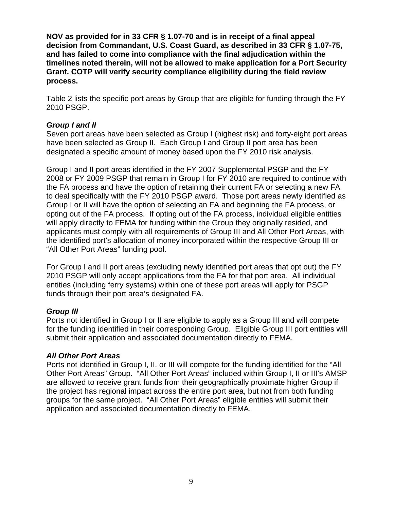**NOV as provided for in 33 CFR § 1.07-70 and is in receipt of a final appeal decision from Commandant, U.S. Coast Guard, as described in 33 CFR § 1.07-75, and has failed to come into compliance with the final adjudication within the timelines noted therein, will not be allowed to make application for a Port Security Grant. COTP will verify security compliance eligibility during the field review process.** 

Table 2 lists the specific port areas by Group that are eligible for funding through the FY 2010 PSGP.

## *Group I and II*

Seven port areas have been selected as Group I (highest risk) and forty-eight port areas have been selected as Group II. Each Group I and Group II port area has been designated a specific amount of money based upon the FY 2010 risk analysis.

Group I and II port areas identified in the FY 2007 Supplemental PSGP and the FY 2008 or FY 2009 PSGP that remain in Group I for FY 2010 are required to continue with the FA process and have the option of retaining their current FA or selecting a new FA to deal specifically with the FY 2010 PSGP award. Those port areas newly identified as Group I or II will have the option of selecting an FA and beginning the FA process, or opting out of the FA process. If opting out of the FA process, individual eligible entities will apply directly to FEMA for funding within the Group they originally resided, and applicants must comply with all requirements of Group III and All Other Port Areas, with the identified port's allocation of money incorporated within the respective Group III or "All Other Port Areas" funding pool.

For Group I and II port areas (excluding newly identified port areas that opt out) the FY 2010 PSGP will only accept applications from the FA for that port area. All individual entities (including ferry systems) within one of these port areas will apply for PSGP funds through their port area's designated FA.

## *Group III*

Ports not identified in Group I or II are eligible to apply as a Group III and will compete for the funding identified in their corresponding Group. Eligible Group III port entities will submit their application and associated documentation directly to FEMA.

### *All Other Port Areas*

Ports not identified in Group I, II, or III will compete for the funding identified for the "All Other Port Areas" Group. "All Other Port Areas" included within Group I, II or III's AMSP are allowed to receive grant funds from their geographically proximate higher Group if the project has regional impact across the entire port area, but not from both funding groups for the same project. "All Other Port Areas" eligible entities will submit their application and associated documentation directly to FEMA.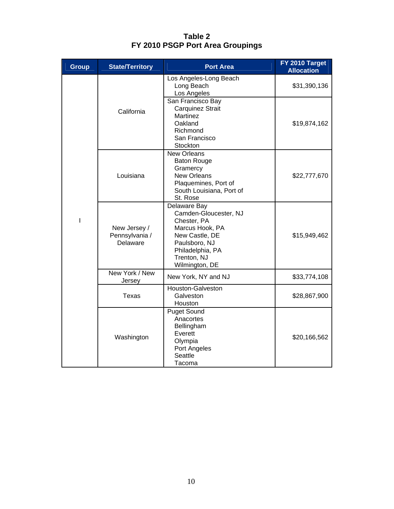| <b>Group</b> | <b>State/Territory</b>                     | <b>Port Area</b>                                                                                                                                                | FY 2010 Target<br><b>Allocation</b> |
|--------------|--------------------------------------------|-----------------------------------------------------------------------------------------------------------------------------------------------------------------|-------------------------------------|
|              |                                            | Los Angeles-Long Beach<br>Long Beach<br>Los Angeles                                                                                                             | \$31,390,136                        |
|              | California                                 | San Francisco Bay<br>Carquinez Strait<br>Martinez<br>Oakland<br>Richmond<br>San Francisco<br>Stockton                                                           | \$19,874,162                        |
|              | Louisiana                                  | <b>New Orleans</b><br><b>Baton Rouge</b><br>Gramercy<br><b>New Orleans</b><br>Plaquemines, Port of<br>South Louisiana, Port of<br>St. Rose                      | \$22,777,670                        |
| L            | New Jersey /<br>Pennsylvania /<br>Delaware | Delaware Bay<br>Camden-Gloucester, NJ<br>Chester, PA<br>Marcus Hook, PA<br>New Castle, DE<br>Paulsboro, NJ<br>Philadelphia, PA<br>Trenton, NJ<br>Wilmington, DE | \$15,949,462                        |
|              | New York / New<br>Jersey                   | New York, NY and NJ                                                                                                                                             | \$33,774,108                        |
|              | <b>Texas</b>                               | Houston-Galveston<br>Galveston<br>Houston                                                                                                                       | \$28,867,900                        |
|              | Washington                                 | <b>Puget Sound</b><br>Anacortes<br>Bellingham<br>Everett<br>Olympia<br>Port Angeles<br>Seattle<br>Tacoma                                                        | \$20,166,562                        |

**Table 2 FY 2010 PSGP Port Area Groupings**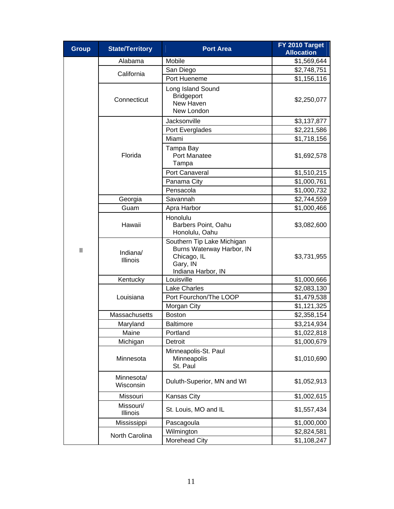| <b>Group</b>  | <b>State/Territory</b>       | <b>Port Area</b>                                                                                         | FY 2010 Target<br><b>Allocation</b> |
|---------------|------------------------------|----------------------------------------------------------------------------------------------------------|-------------------------------------|
|               | Alabama                      | Mobile                                                                                                   | \$1,569,644                         |
|               | California                   | San Diego                                                                                                | \$2,748,751                         |
|               |                              | Port Hueneme                                                                                             | \$1,156,116                         |
|               | Connecticut                  | Long Island Sound<br><b>Bridgeport</b><br>New Haven<br>New London                                        | \$2,250,077                         |
|               |                              | Jacksonville                                                                                             | \$3,137,877                         |
|               |                              | Port Everglades                                                                                          | \$2,221,586                         |
|               |                              | Miami                                                                                                    | \$1,718,156                         |
|               | Florida                      | Tampa Bay<br>Port Manatee<br>Tampa                                                                       | \$1,692,578                         |
|               |                              | Port Canaveral                                                                                           | \$1,510,215                         |
|               |                              | Panama City                                                                                              | \$1,000,761                         |
|               |                              | Pensacola                                                                                                | \$1,000,732                         |
|               | Georgia                      | Savannah                                                                                                 | \$2,744,559                         |
|               | Guam                         | Apra Harbor                                                                                              | \$1,000,466                         |
| $\mathbf{II}$ | Hawaii                       | Honolulu<br>Barbers Point, Oahu<br>Honolulu, Oahu                                                        | \$3,082,600                         |
|               | Indiana/<br><b>Illinois</b>  | Southern Tip Lake Michigan<br>Burns Waterway Harbor, IN<br>Chicago, IL<br>Gary, IN<br>Indiana Harbor, IN | \$3,731,955                         |
|               | Kentucky                     | Louisville                                                                                               | \$1,000,666                         |
|               | Louisiana                    | <b>Lake Charles</b>                                                                                      | \$2,083,130                         |
|               |                              | Port Fourchon/The LOOP                                                                                   | \$1,479,538                         |
|               |                              | Morgan City                                                                                              | \$1,121,325                         |
|               | Massachusetts                | <b>Boston</b>                                                                                            | \$2,358,154                         |
|               | Maryland                     | <b>Baltimore</b>                                                                                         | \$3,214,934                         |
|               | Maine                        | Portland                                                                                                 | \$1,022,818                         |
|               | Michigan                     | Detroit                                                                                                  | \$1,000,679                         |
|               | Minnesota                    | Minneapolis-St. Paul<br>Minneapolis<br>St. Paul                                                          | \$1,010,690                         |
|               | Minnesota/<br>Wisconsin      | Duluth-Superior, MN and WI                                                                               | \$1,052,913                         |
|               | Missouri                     | Kansas City                                                                                              | \$1,002,615                         |
|               | Missouri/<br><b>Illinois</b> | St. Louis, MO and IL                                                                                     | \$1,557,434                         |
|               | Mississippi                  | Pascagoula                                                                                               | \$1,000,000                         |
|               | North Carolina               | Wilmington                                                                                               | \$2,824,581                         |
|               |                              | Morehead City                                                                                            | \$1,108,247                         |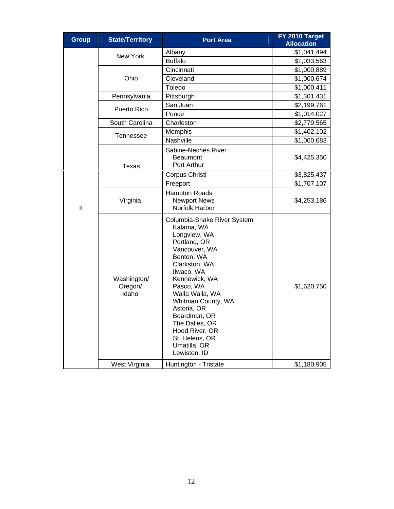| <b>Group</b>  | <b>State/Territory</b>          | <b>Port Area</b>                                                                                                                                                                                                                                                                                                                    | FY 2010 Target<br><b>Allocation</b> |
|---------------|---------------------------------|-------------------------------------------------------------------------------------------------------------------------------------------------------------------------------------------------------------------------------------------------------------------------------------------------------------------------------------|-------------------------------------|
|               | New York                        | Albany                                                                                                                                                                                                                                                                                                                              | \$1,041,494                         |
|               |                                 | <b>Buffalo</b>                                                                                                                                                                                                                                                                                                                      | \$1,033,563                         |
|               |                                 | Cincinnati                                                                                                                                                                                                                                                                                                                          | \$1,000,889                         |
|               | Ohio                            | Cleveland                                                                                                                                                                                                                                                                                                                           | \$1,000,674                         |
|               |                                 | Toledo                                                                                                                                                                                                                                                                                                                              | \$1,000,411                         |
|               | Pennsylvania                    | Pittsburgh                                                                                                                                                                                                                                                                                                                          | \$1,301,431                         |
|               | Puerto Rico                     | San Juan                                                                                                                                                                                                                                                                                                                            | \$2,199,761                         |
|               |                                 | Ponce                                                                                                                                                                                                                                                                                                                               | \$1,014,027                         |
|               | South Carolina                  | Charleston                                                                                                                                                                                                                                                                                                                          | \$2,779,565                         |
|               |                                 | Memphis                                                                                                                                                                                                                                                                                                                             | \$1,402,102                         |
|               | Tennessee                       | Nashville                                                                                                                                                                                                                                                                                                                           | \$1,000,683                         |
|               | <b>Texas</b>                    | Sabine-Neches River<br><b>Beaumont</b><br>Port Arthur                                                                                                                                                                                                                                                                               | \$4,425,350                         |
|               |                                 | Corpus Christi                                                                                                                                                                                                                                                                                                                      | \$3,825,437                         |
|               |                                 | Freeport                                                                                                                                                                                                                                                                                                                            | \$1,707,107                         |
| $\mathbf{II}$ | Virginia                        | Hampton Roads<br><b>Newport News</b><br>Norfolk Harbor                                                                                                                                                                                                                                                                              | \$4,253,186                         |
|               | Washington/<br>Oregon/<br>Idaho | Columbia-Snake River System<br>Kalama, WA<br>Longview, WA<br>Portland, OR<br>Vancouver, WA<br>Benton, WA<br>Clarkston, WA<br>Ilwaco, WA<br>Kennewick, WA<br>Pasco, WA<br>Walla Walla, WA<br>Whitman County, WA<br>Astoria, OR<br>Boardman, OR<br>The Dalles, OR<br>Hood River, OR<br>St. Helens, OR<br>Umatilla, OR<br>Lewiston, ID | \$1,620,750                         |
|               | West Virginia                   | Huntington - Tristate                                                                                                                                                                                                                                                                                                               | \$1,180,905                         |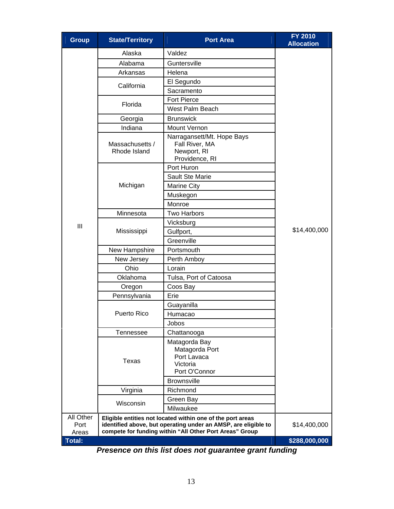| <b>Group</b>               | <b>State/Territory</b>          | <b>Port Area</b>                                                                                                                                                                        | <b>FY 2010</b><br><b>Allocation</b> |  |
|----------------------------|---------------------------------|-----------------------------------------------------------------------------------------------------------------------------------------------------------------------------------------|-------------------------------------|--|
|                            | Alaska                          | Valdez                                                                                                                                                                                  |                                     |  |
|                            | Alabama                         | Guntersville                                                                                                                                                                            |                                     |  |
|                            | Arkansas                        | Helena                                                                                                                                                                                  |                                     |  |
|                            | California                      | El Segundo                                                                                                                                                                              |                                     |  |
|                            |                                 | Sacramento                                                                                                                                                                              |                                     |  |
|                            | Florida                         | <b>Fort Pierce</b>                                                                                                                                                                      |                                     |  |
|                            |                                 | West Palm Beach                                                                                                                                                                         |                                     |  |
|                            | Georgia                         | <b>Brunswick</b>                                                                                                                                                                        |                                     |  |
|                            | Indiana                         | <b>Mount Vernon</b>                                                                                                                                                                     |                                     |  |
|                            | Massachusetts /<br>Rhode Island | Narragansett/Mt. Hope Bays<br>Fall River, MA<br>Newport, RI<br>Providence, RI                                                                                                           |                                     |  |
|                            |                                 | Port Huron                                                                                                                                                                              |                                     |  |
|                            |                                 | Sault Ste Marie                                                                                                                                                                         |                                     |  |
|                            | Michigan                        | <b>Marine City</b>                                                                                                                                                                      |                                     |  |
|                            |                                 | Muskegon                                                                                                                                                                                |                                     |  |
|                            |                                 | Monroe                                                                                                                                                                                  |                                     |  |
|                            | Minnesota                       | <b>Two Harbors</b>                                                                                                                                                                      |                                     |  |
| III                        |                                 | Vicksburg                                                                                                                                                                               | \$14,400,000                        |  |
|                            | Mississippi                     | Gulfport,                                                                                                                                                                               |                                     |  |
|                            |                                 | Greenville                                                                                                                                                                              |                                     |  |
|                            | New Hampshire                   | Portsmouth                                                                                                                                                                              |                                     |  |
|                            | New Jersey                      | Perth Amboy                                                                                                                                                                             |                                     |  |
|                            | Ohio                            | Lorain                                                                                                                                                                                  |                                     |  |
|                            | Oklahoma                        | Tulsa, Port of Catoosa                                                                                                                                                                  |                                     |  |
|                            | Oregon                          | Coos Bay                                                                                                                                                                                |                                     |  |
|                            | Pennsylvania                    | Erie                                                                                                                                                                                    |                                     |  |
|                            |                                 | Guayanilla                                                                                                                                                                              |                                     |  |
|                            | <b>Puerto Rico</b>              | Humacao                                                                                                                                                                                 |                                     |  |
|                            |                                 | Jobos                                                                                                                                                                                   |                                     |  |
|                            | <b>Tennessee</b>                | Chattanooga                                                                                                                                                                             |                                     |  |
|                            | <b>Texas</b>                    | Matagorda Bay<br>Matagorda Port<br>Port Lavaca<br>Victoria<br>Port O'Connor<br><b>Brownsville</b>                                                                                       |                                     |  |
|                            | Virginia                        | Richmond                                                                                                                                                                                |                                     |  |
|                            |                                 | Green Bay                                                                                                                                                                               |                                     |  |
|                            | Wisconsin                       | Milwaukee                                                                                                                                                                               |                                     |  |
| All Other<br>Port<br>Areas |                                 | Eligible entities not located within one of the port areas<br>identified above, but operating under an AMSP, are eligible to<br>compete for funding within "All Other Port Areas" Group | \$14,400,000                        |  |
| <b>Total:</b>              |                                 |                                                                                                                                                                                         | \$288,000,000                       |  |

*Presence on this list does not guarantee grant funding*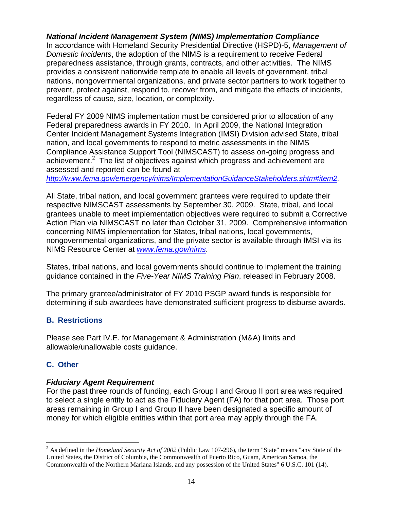## *National Incident Management System (NIMS) Implementation Compliance*

In accordance with Homeland Security Presidential Directive (HSPD)-5, *Management of Domestic Incidents*, the adoption of the NIMS is a requirement to receive Federal preparedness assistance, through grants, contracts, and other activities. The NIMS provides a consistent nationwide template to enable all levels of government, tribal nations, nongovernmental organizations, and private sector partners to work together to prevent, protect against, respond to, recover from, and mitigate the effects of incidents, regardless of cause, size, location, or complexity.

Federal FY 2009 NIMS implementation must be considered prior to allocation of any Federal preparedness awards in FY 2010. In April 2009, the National Integration Center Incident Management Systems Integration (IMSI) Division advised State, tribal nation, and local governments to respond to metric assessments in the NIMS Compliance Assistance Support Tool (NIMSCAST) to assess on-going progress and achievement.<sup>2</sup> The list of objectives against which progress and achievement are assessed and reported can be found at

*http://www.fema.gov/emergency/nims/ImplementationGuidanceStakeholders.shtm#item2.*

All State, tribal nation, and local government grantees were required to update their respective NIMSCAST assessments by September 30, 2009. State, tribal, and local grantees unable to meet implementation objectives were required to submit a Corrective Action Plan via NIMSCAST no later than October 31, 2009. Comprehensive information concerning NIMS implementation for States, tribal nations, local governments, nongovernmental organizations, and the private sector is available through IMSI via its NIMS Resource Center at *www.fema.gov/nims*.

States, tribal nations, and local governments should continue to implement the training guidance contained in the *Five-Year NIMS Training Plan*, released in February 2008.

The primary grantee/administrator of FY 2010 PSGP award funds is responsible for determining if sub-awardees have demonstrated sufficient progress to disburse awards.

## **B. Restrictions**

Please see Part IV.E. for Management & Administration (M&A) limits and allowable/unallowable costs guidance.

## **C. Other**

 $\overline{a}$ 

### *Fiduciary Agent Requirement*

For the past three rounds of funding, each Group I and Group II port area was required to select a single entity to act as the Fiduciary Agent (FA) for that port area. Those port areas remaining in Group I and Group II have been designated a specific amount of money for which eligible entities within that port area may apply through the FA.

<sup>2</sup> As defined in the *Homeland Security Act of 2002* (Public Law 107-296), the term "State" means "any State of the United States, the District of Columbia, the Commonwealth of Puerto Rico, Guam, American Samoa, the Commonwealth of the Northern Mariana Islands, and any possession of the United States" 6 U.S.C. 101 (14).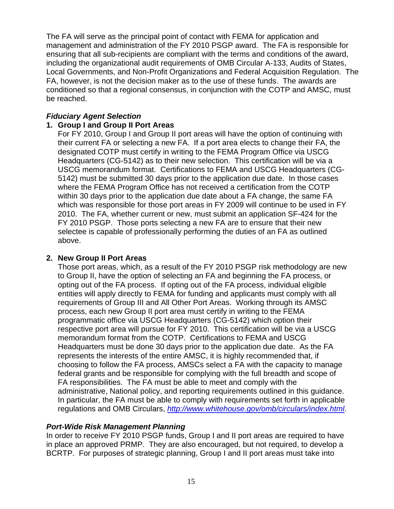The FA will serve as the principal point of contact with FEMA for application and management and administration of the FY 2010 PSGP award. The FA is responsible for ensuring that all sub-recipients are compliant with the terms and conditions of the award, including the organizational audit requirements of OMB Circular A-133, Audits of States, Local Governments, and Non-Profit Organizations and Federal Acquisition Regulation. The FA, however, is not the decision maker as to the use of these funds. The awards are conditioned so that a regional consensus, in conjunction with the COTP and AMSC, must be reached.

## *Fiduciary Agent Selection*

## **1. Group I and Group II Port Areas**

For FY 2010, Group I and Group II port areas will have the option of continuing with their current FA or selecting a new FA. If a port area elects to change their FA, the designated COTP must certify in writing to the FEMA Program Office via USCG Headquarters (CG-5142) as to their new selection. This certification will be via a USCG memorandum format. Certifications to FEMA and USCG Headquarters (CG-5142) must be submitted 30 days prior to the application due date. In those cases where the FEMA Program Office has not received a certification from the COTP within 30 days prior to the application due date about a FA change, the same FA which was responsible for those port areas in FY 2009 will continue to be used in FY 2010. The FA, whether current or new, must submit an application SF-424 for the FY 2010 PSGP. Those ports selecting a new FA are to ensure that their new selectee is capable of professionally performing the duties of an FA as outlined above.

## **2. New Group II Port Areas**

Those port areas, which, as a result of the FY 2010 PSGP risk methodology are new to Group II, have the option of selecting an FA and beginning the FA process, or opting out of the FA process. If opting out of the FA process, individual eligible entities will apply directly to FEMA for funding and applicants must comply with all requirements of Group III and All Other Port Areas. Working through its AMSC process, each new Group II port area must certify in writing to the FEMA programmatic office via USCG Headquarters (CG-5142) which option their respective port area will pursue for FY 2010. This certification will be via a USCG memorandum format from the COTP. Certifications to FEMA and USCG Headquarters must be done 30 days prior to the application due date. As the FA represents the interests of the entire AMSC, it is highly recommended that, if choosing to follow the FA process, AMSCs select a FA with the capacity to manage federal grants and be responsible for complying with the full breadth and scope of FA responsibilities. The FA must be able to meet and comply with the administrative, National policy, and reporting requirements outlined in this guidance. In particular, the FA must be able to comply with requirements set forth in applicable regulations and OMB Circulars, *http://www.whitehouse.gov/omb/circulars/index.html*.

### *Port-Wide Risk Management Planning*

In order to receive FY 2010 PSGP funds, Group I and II port areas are required to have in place an approved PRMP. They are also encouraged, but not required, to develop a BCRTP. For purposes of strategic planning, Group I and II port areas must take into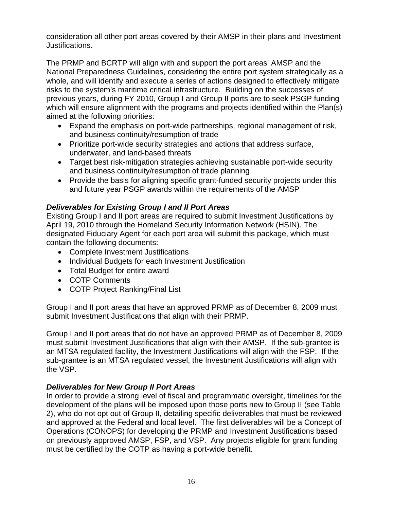consideration all other port areas covered by their AMSP in their plans and Investment Justifications.

The PRMP and BCRTP will align with and support the port areas' AMSP and the National Preparedness Guidelines, considering the entire port system strategically as a whole, and will identify and execute a series of actions designed to effectively mitigate risks to the system's maritime critical infrastructure. Building on the successes of previous years, during FY 2010, Group I and Group II ports are to seek PSGP funding which will ensure alignment with the programs and projects identified within the Plan(s) aimed at the following priorities:

- Expand the emphasis on port-wide partnerships, regional management of risk, and business continuity/resumption of trade
- Prioritize port-wide security strategies and actions that address surface, underwater, and land-based threats
- Target best risk-mitigation strategies achieving sustainable port-wide security and business continuity/resumption of trade planning
- Provide the basis for aligning specific grant-funded security projects under this and future year PSGP awards within the requirements of the AMSP

## *Deliverables for Existing Group I and II Port Areas*

Existing Group I and II port areas are required to submit Investment Justifications by April 19, 2010 through the Homeland Security Information Network (HSIN). The designated Fiduciary Agent for each port area will submit this package, which must contain the following documents:

- Complete Investment Justifications
- Individual Budgets for each Investment Justification
- Total Budget for entire award
- COTP Comments
- COTP Project Ranking/Final List

Group I and II port areas that have an approved PRMP as of December 8, 2009 must submit Investment Justifications that align with their PRMP.

Group I and II port areas that do not have an approved PRMP as of December 8, 2009 must submit Investment Justifications that align with their AMSP. If the sub-grantee is an MTSA regulated facility, the Investment Justifications will align with the FSP. If the sub-grantee is an MTSA regulated vessel, the Investment Justifications will align with the VSP.

## *Deliverables for New Group II Port Areas*

In order to provide a strong level of fiscal and programmatic oversight, timelines for the development of the plans will be imposed upon those ports new to Group II (see Table 2), who do not opt out of Group II, detailing specific deliverables that must be reviewed and approved at the Federal and local level. The first deliverables will be a Concept of Operations (CONOPS) for developing the PRMP and Investment Justifications based on previously approved AMSP, FSP, and VSP. Any projects eligible for grant funding must be certified by the COTP as having a port-wide benefit.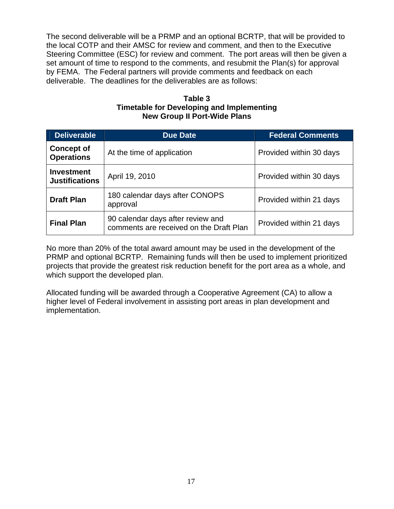The second deliverable will be a PRMP and an optional BCRTP, that will be provided to the local COTP and their AMSC for review and comment, and then to the Executive Steering Committee (ESC) for review and comment. The port areas will then be given a set amount of time to respond to the comments, and resubmit the Plan(s) for approval by FEMA. The Federal partners will provide comments and feedback on each deliverable. The deadlines for the deliverables are as follows:

**Table 3 Timetable for Developing and Implementing New Group II Port-Wide Plans** 

| <b>Deliverable</b>                         | <b>Due Date</b>                                                              | <b>Federal Comments</b> |
|--------------------------------------------|------------------------------------------------------------------------------|-------------------------|
| <b>Concept of</b><br><b>Operations</b>     | At the time of application                                                   | Provided within 30 days |
| <b>Investment</b><br><b>Justifications</b> | April 19, 2010                                                               | Provided within 30 days |
| <b>Draft Plan</b>                          | 180 calendar days after CONOPS<br>approval                                   | Provided within 21 days |
| <b>Final Plan</b>                          | 90 calendar days after review and<br>comments are received on the Draft Plan | Provided within 21 days |

No more than 20% of the total award amount may be used in the development of the PRMP and optional BCRTP. Remaining funds will then be used to implement prioritized projects that provide the greatest risk reduction benefit for the port area as a whole, and which support the developed plan.

Allocated funding will be awarded through a Cooperative Agreement (CA) to allow a higher level of Federal involvement in assisting port areas in plan development and implementation.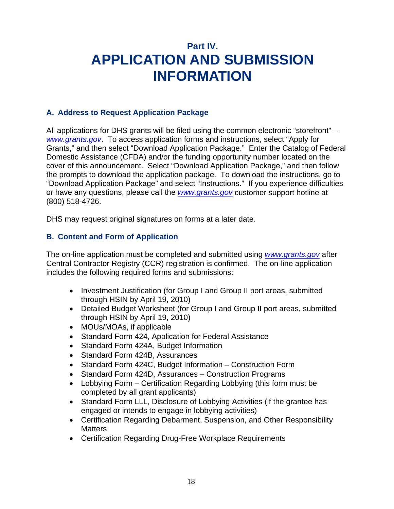## **Part IV. APPLICATION AND SUBMISSION INFORMATION**

## **A. Address to Request Application Package**

All applications for DHS grants will be filed using the common electronic "storefront" – *www.grants.gov*. To access application forms and instructions, select "Apply for Grants," and then select "Download Application Package." Enter the Catalog of Federal Domestic Assistance (CFDA) and/or the funding opportunity number located on the cover of this announcement. Select "Download Application Package," and then follow the prompts to download the application package. To download the instructions, go to "Download Application Package" and select "Instructions." If you experience difficulties or have any questions, please call the *www.grants.gov* customer support hotline at (800) 518-4726.

DHS may request original signatures on forms at a later date.

## **B. Content and Form of Application**

The on-line application must be completed and submitted using *www.grants.gov* after Central Contractor Registry (CCR) registration is confirmed. The on-line application includes the following required forms and submissions:

- Investment Justification (for Group I and Group II port areas, submitted through HSIN by April 19, 2010)
- Detailed Budget Worksheet (for Group I and Group II port areas, submitted through HSIN by April 19, 2010)
- MOUs/MOAs, if applicable
- Standard Form 424, Application for Federal Assistance
- Standard Form 424A, Budget Information
- Standard Form 424B, Assurances
- Standard Form 424C, Budget Information Construction Form
- Standard Form 424D, Assurances Construction Programs
- Lobbying Form Certification Regarding Lobbying (this form must be completed by all grant applicants)
- Standard Form LLL, Disclosure of Lobbying Activities (if the grantee has engaged or intends to engage in lobbying activities)
- Certification Regarding Debarment, Suspension, and Other Responsibility **Matters**
- Certification Regarding Drug-Free Workplace Requirements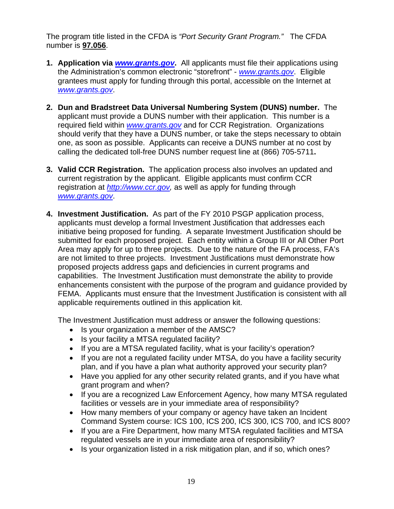The program title listed in the CFDA is *"Port Security Grant Program."* The CFDA number is **97.056**.

- **1. Application via** *www.grants.gov***.** All applicants must file their applications using the Administration's common electronic "storefront" - *www.grants.gov*. Eligible grantees must apply for funding through this portal, accessible on the Internet at *www.grants.gov*.
- **2. Dun and Bradstreet Data Universal Numbering System (DUNS) number.** The applicant must provide a DUNS number with their application. This number is a required field within *www.grants.gov* and for CCR Registration. Organizations should verify that they have a DUNS number, or take the steps necessary to obtain one, as soon as possible. Applicants can receive a DUNS number at no cost by calling the dedicated toll-free DUNS number request line at (866) 705-5711**.**
- **3. Valid CCR Registration.** The application process also involves an updated and current registration by the applicant. Eligible applicants must confirm CCR registration at *http://www.ccr.gov,* as well as apply for funding through *www.grants.gov*.
- **4. Investment Justification.** As part of the FY 2010 PSGP application process, applicants must develop a formal Investment Justification that addresses each initiative being proposed for funding. A separate Investment Justification should be submitted for each proposed project. Each entity within a Group III or All Other Port Area may apply for up to three projects. Due to the nature of the FA process, FA's are not limited to three projects. Investment Justifications must demonstrate how proposed projects address gaps and deficiencies in current programs and capabilities. The Investment Justification must demonstrate the ability to provide enhancements consistent with the purpose of the program and guidance provided by FEMA. Applicants must ensure that the Investment Justification is consistent with all applicable requirements outlined in this application kit.

The Investment Justification must address or answer the following questions:

- Is your organization a member of the AMSC?
- Is your facility a MTSA regulated facility?
- If you are a MTSA regulated facility, what is your facility's operation?
- If you are not a regulated facility under MTSA, do you have a facility security plan, and if you have a plan what authority approved your security plan?
- Have you applied for any other security related grants, and if you have what grant program and when?
- If you are a recognized Law Enforcement Agency, how many MTSA regulated facilities or vessels are in your immediate area of responsibility?
- How many members of your company or agency have taken an Incident Command System course: ICS 100, ICS 200, ICS 300, ICS 700, and ICS 800?
- If you are a Fire Department, how many MTSA regulated facilities and MTSA regulated vessels are in your immediate area of responsibility?
- Is your organization listed in a risk mitigation plan, and if so, which ones?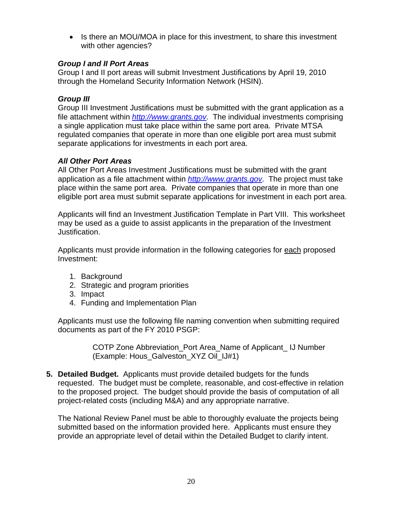• Is there an MOU/MOA in place for this investment, to share this investment with other agencies?

## *Group I and II Port Areas*

Group I and II port areas will submit Investment Justifications by April 19, 2010 through the Homeland Security Information Network (HSIN).

## *Group III*

Group III Investment Justifications must be submitted with the grant application as a file attachment within *http://www.grants.gov*. The individual investments comprising a single application must take place within the same port area. Private MTSA regulated companies that operate in more than one eligible port area must submit separate applications for investments in each port area.

## *All Other Port Areas*

All Other Port Areas Investment Justifications must be submitted with the grant application as a file attachment within *http://www.grants.gov*. The project must take place within the same port area. Private companies that operate in more than one eligible port area must submit separate applications for investment in each port area.

Applicants will find an Investment Justification Template in Part VIII. This worksheet may be used as a guide to assist applicants in the preparation of the Investment Justification.

Applicants must provide information in the following categories for each proposed Investment:

- 1. Background
- 2. Strategic and program priorities
- 3. Impact
- 4. Funding and Implementation Plan

Applicants must use the following file naming convention when submitting required documents as part of the FY 2010 PSGP:

> COTP Zone Abbreviation\_Port Area\_Name of Applicant\_ IJ Number (Example: Hous\_Galveston\_XYZ Oil\_IJ#1)

**5. Detailed Budget.** Applicants must provide detailed budgets for the funds requested. The budget must be complete, reasonable, and cost-effective in relation to the proposed project. The budget should provide the basis of computation of all project-related costs (including M&A) and any appropriate narrative.

The National Review Panel must be able to thoroughly evaluate the projects being submitted based on the information provided here. Applicants must ensure they provide an appropriate level of detail within the Detailed Budget to clarify intent.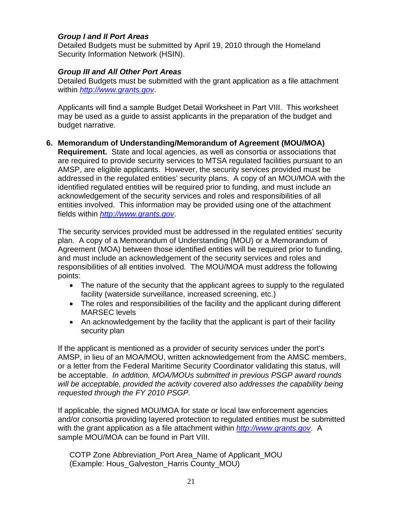## *Group I and II Port Areas*

Detailed Budgets must be submitted by April 19, 2010 through the Homeland Security Information Network (HSIN).

## *Group III and All Other Port Areas*

Detailed Budgets must be submitted with the grant application as a file attachment within *http://www.grants.gov*.

Applicants will find a sample Budget Detail Worksheet in Part VIII. This worksheet may be used as a guide to assist applicants in the preparation of the budget and budget narrative.

## **6. Memorandum of Understanding/Memorandum of Agreement (MOU/MOA)**

**Requirement.** State and local agencies, as well as consortia or associations that are required to provide security services to MTSA regulated facilities pursuant to an AMSP, are eligible applicants. However, the security services provided must be addressed in the regulated entities' security plans. A copy of an MOU/MOA with the identified regulated entities will be required prior to funding, and must include an acknowledgement of the security services and roles and responsibilities of all entities involved. This information may be provided using one of the attachment fields within *http://www.grants.gov*.

The security services provided must be addressed in the regulated entities' security plan. A copy of a Memorandum of Understanding (MOU) or a Memorandum of Agreement (MOA) between those identified entities will be required prior to funding, and must include an acknowledgement of the security services and roles and responsibilities of all entities involved. The MOU/MOA must address the following points:

- The nature of the security that the applicant agrees to supply to the regulated facility (waterside surveillance, increased screening, etc.)
- The roles and responsibilities of the facility and the applicant during different MARSEC levels
- An acknowledgement by the facility that the applicant is part of their facility security plan

If the applicant is mentioned as a provider of security services under the port's AMSP, in lieu of an MOA/MOU, written acknowledgement from the AMSC members, or a letter from the Federal Maritime Security Coordinator validating this status, will be acceptable. *In addition, MOA/MOUs submitted in previous PSGP award rounds will be acceptable, provided the activity covered also addresses the capability being requested through the FY 2010 PSGP.*

If applicable, the signed MOU/MOA for state or local law enforcement agencies and/or consortia providing layered protection to regulated entities must be submitted with the grant application as a file attachment within *http://www.grants.gov*. A sample MOU/MOA can be found in Part VIII.

COTP Zone Abbreviation\_Port Area\_Name of Applicant\_MOU (Example: Hous\_Galveston\_Harris County\_MOU)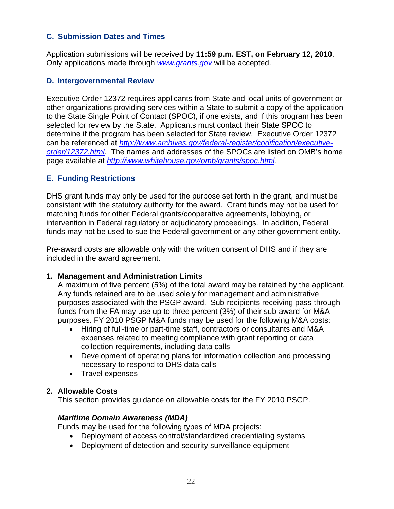## **C. Submission Dates and Times**

Application submissions will be received by **11:59 p.m. EST, on February 12, 2010**. Only applications made through *www.grants.gov* will be accepted.

#### **D. Intergovernmental Review**

Executive Order 12372 requires applicants from State and local units of government or other organizations providing services within a State to submit a copy of the application to the State Single Point of Contact (SPOC), if one exists, and if this program has been selected for review by the State. Applicants must contact their State SPOC to determine if the program has been selected for State review. Executive Order 12372 can be referenced at *http://www.archives.gov/federal-register/codification/executiveorder/12372.html*. The names and addresses of the SPOCs are listed on OMB's home page available at *http://www.whitehouse.gov/omb/grants/spoc.html.* 

### **E. Funding Restrictions**

DHS grant funds may only be used for the purpose set forth in the grant, and must be consistent with the statutory authority for the award. Grant funds may not be used for matching funds for other Federal grants/cooperative agreements, lobbying, or intervention in Federal regulatory or adjudicatory proceedings. In addition, Federal funds may not be used to sue the Federal government or any other government entity.

Pre-award costs are allowable only with the written consent of DHS and if they are included in the award agreement.

#### **1. Management and Administration Limits**

A maximum of five percent (5%) of the total award may be retained by the applicant. Any funds retained are to be used solely for management and administrative purposes associated with the PSGP award. Sub-recipients receiving pass-through funds from the FA may use up to three percent (3%) of their sub-award for M&A purposes. FY 2010 PSGP M&A funds may be used for the following M&A costs:

- Hiring of full-time or part-time staff, contractors or consultants and M&A expenses related to meeting compliance with grant reporting or data collection requirements, including data calls
- Development of operating plans for information collection and processing necessary to respond to DHS data calls
- Travel expenses

#### **2. Allowable Costs**

This section provides guidance on allowable costs for the FY 2010 PSGP.

#### *Maritime Domain Awareness (MDA)*

Funds may be used for the following types of MDA projects:

- Deployment of access control/standardized credentialing systems
- Deployment of detection and security surveillance equipment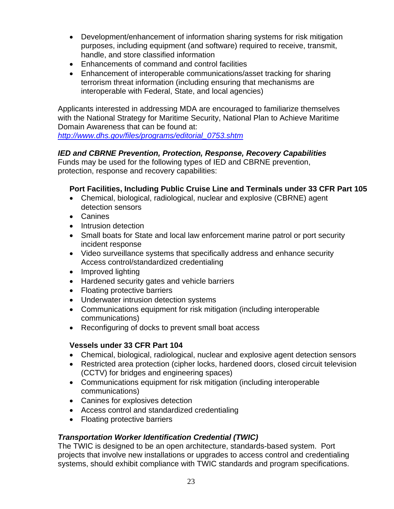- Development/enhancement of information sharing systems for risk mitigation purposes, including equipment (and software) required to receive, transmit, handle, and store classified information
- Enhancements of command and control facilities
- Enhancement of interoperable communications/asset tracking for sharing terrorism threat information (including ensuring that mechanisms are interoperable with Federal, State, and local agencies)

Applicants interested in addressing MDA are encouraged to familiarize themselves with the National Strategy for Maritime Security, National Plan to Achieve Maritime Domain Awareness that can be found at:

*http://www.dhs.gov/files/programs/editorial\_0753.shtm*

## *IED and CBRNE Prevention, Protection, Response, Recovery Capabilities*

Funds may be used for the following types of IED and CBRNE prevention, protection, response and recovery capabilities:

## **Port Facilities, Including Public Cruise Line and Terminals under 33 CFR Part 105**

- Chemical, biological, radiological, nuclear and explosive (CBRNE) agent detection sensors
- Canines
- Intrusion detection
- Small boats for State and local law enforcement marine patrol or port security incident response
- Video surveillance systems that specifically address and enhance security Access control/standardized credentialing
- Improved lighting
- Hardened security gates and vehicle barriers
- Floating protective barriers
- Underwater intrusion detection systems
- Communications equipment for risk mitigation (including interoperable communications)
- Reconfiguring of docks to prevent small boat access

## **Vessels under 33 CFR Part 104**

- Chemical, biological, radiological, nuclear and explosive agent detection sensors
- Restricted area protection (cipher locks, hardened doors, closed circuit television (CCTV) for bridges and engineering spaces)
- Communications equipment for risk mitigation (including interoperable communications)
- Canines for explosives detection
- Access control and standardized credentialing
- Floating protective barriers

## *Transportation Worker Identification Credential (TWIC)*

The TWIC is designed to be an open architecture, standards-based system. Port projects that involve new installations or upgrades to access control and credentialing systems, should exhibit compliance with TWIC standards and program specifications.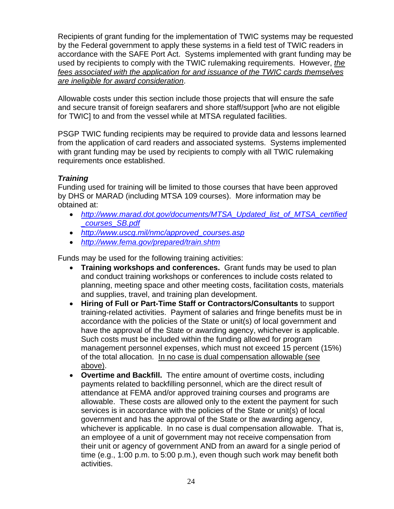Recipients of grant funding for the implementation of TWIC systems may be requested by the Federal government to apply these systems in a field test of TWIC readers in accordance with the SAFE Port Act. Systems implemented with grant funding may be used by recipients to comply with the TWIC rulemaking requirements. However, *the fees associated with the application for and issuance of the TWIC cards themselves are ineligible for award consideration*.

Allowable costs under this section include those projects that will ensure the safe and secure transit of foreign seafarers and shore staff/support [who are not eligible for TWIC] to and from the vessel while at MTSA regulated facilities.

PSGP TWIC funding recipients may be required to provide data and lessons learned from the application of card readers and associated systems. Systems implemented with grant funding may be used by recipients to comply with all TWIC rulemaking requirements once established.

## *Training*

Funding used for training will be limited to those courses that have been approved by DHS or MARAD (including MTSA 109 courses). More information may be obtained at:

- *http://www.marad.dot.gov/documents/MTSA\_Updated\_list\_of\_MTSA\_certified \_courses\_SB.pdf*
- *http://www.uscg.mil/nmc/approved\_courses.asp*
- *http://www.fema.gov/prepared/train.shtm*

Funds may be used for the following training activities:

- **Training workshops and conferences.** Grant funds may be used to plan and conduct training workshops or conferences to include costs related to planning, meeting space and other meeting costs, facilitation costs, materials and supplies, travel, and training plan development.
- **Hiring of Full or Part-Time Staff or Contractors/Consultants** to support training-related activities. Payment of salaries and fringe benefits must be in accordance with the policies of the State or unit(s) of local government and have the approval of the State or awarding agency, whichever is applicable. Such costs must be included within the funding allowed for program management personnel expenses, which must not exceed 15 percent (15%) of the total allocation. In no case is dual compensation allowable (see above).
- **Overtime and Backfill.** The entire amount of overtime costs, including payments related to backfilling personnel, which are the direct result of attendance at FEMA and/or approved training courses and programs are allowable. These costs are allowed only to the extent the payment for such services is in accordance with the policies of the State or unit(s) of local government and has the approval of the State or the awarding agency, whichever is applicable. In no case is dual compensation allowable. That is, an employee of a unit of government may not receive compensation from their unit or agency of government AND from an award for a single period of time (e.g., 1:00 p.m. to 5:00 p.m.), even though such work may benefit both activities.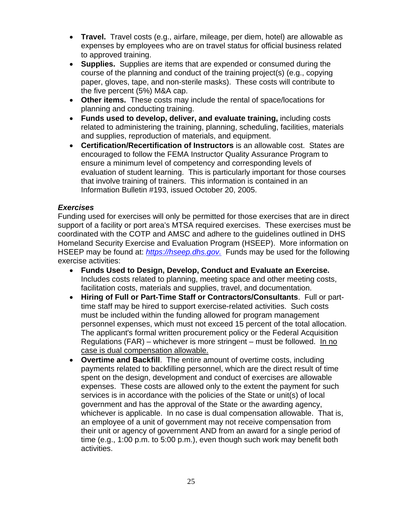- **Travel.** Travel costs (e.g., airfare, mileage, per diem, hotel) are allowable as expenses by employees who are on travel status for official business related to approved training.
- **Supplies.** Supplies are items that are expended or consumed during the course of the planning and conduct of the training project(s) (e.g., copying paper, gloves, tape, and non-sterile masks). These costs will contribute to the five percent (5%) M&A cap.
- **Other items.** These costs may include the rental of space/locations for planning and conducting training.
- **Funds used to develop, deliver, and evaluate training,** including costs related to administering the training, planning, scheduling, facilities, materials and supplies, reproduction of materials, and equipment.
- **Certification/Recertification of Instructors** is an allowable cost. States are encouraged to follow the FEMA Instructor Quality Assurance Program to ensure a minimum level of competency and corresponding levels of evaluation of student learning. This is particularly important for those courses that involve training of trainers. This information is contained in an Information Bulletin #193, issued October 20, 2005.

## *Exercises*

Funding used for exercises will only be permitted for those exercises that are in direct support of a facility or port area's MTSA required exercises. These exercises must be coordinated with the COTP and AMSC and adhere to the guidelines outlined in DHS Homeland Security Exercise and Evaluation Program (HSEEP). More information on HSEEP may be found at: *https://hseep.dhs.gov.* Funds may be used for the following exercise activities:

- **Funds Used to Design, Develop, Conduct and Evaluate an Exercise.** Includes costs related to planning, meeting space and other meeting costs, facilitation costs, materials and supplies, travel, and documentation.
- **Hiring of Full or Part-Time Staff or Contractors/Consultants**. Full or parttime staff may be hired to support exercise-related activities. Such costs must be included within the funding allowed for program management personnel expenses, which must not exceed 15 percent of the total allocation. The applicant's formal written procurement policy or the Federal Acquisition Regulations (FAR) – whichever is more stringent – must be followed. In no case is dual compensation allowable.
- **Overtime and Backfill**. The entire amount of overtime costs, including payments related to backfilling personnel, which are the direct result of time spent on the design, development and conduct of exercises are allowable expenses. These costs are allowed only to the extent the payment for such services is in accordance with the policies of the State or unit(s) of local government and has the approval of the State or the awarding agency, whichever is applicable. In no case is dual compensation allowable. That is, an employee of a unit of government may not receive compensation from their unit or agency of government AND from an award for a single period of time (e.g., 1:00 p.m. to 5:00 p.m.), even though such work may benefit both activities.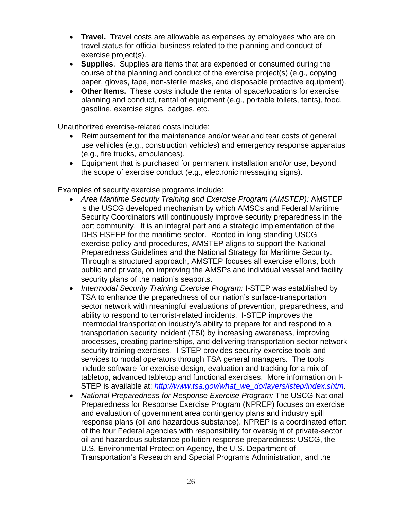- **Travel.** Travel costs are allowable as expenses by employees who are on travel status for official business related to the planning and conduct of exercise project(s).
- **Supplies**. Supplies are items that are expended or consumed during the course of the planning and conduct of the exercise project(s) (e.g., copying paper, gloves, tape, non-sterile masks, and disposable protective equipment).
- **Other Items.** These costs include the rental of space/locations for exercise planning and conduct, rental of equipment (e.g., portable toilets, tents), food, gasoline, exercise signs, badges, etc.

Unauthorized exercise-related costs include:

- Reimbursement for the maintenance and/or wear and tear costs of general use vehicles (e.g., construction vehicles) and emergency response apparatus (e.g., fire trucks, ambulances).
- Equipment that is purchased for permanent installation and/or use, beyond the scope of exercise conduct (e.g., electronic messaging signs).

Examples of security exercise programs include:

- *Area Maritime Security Training and Exercise Program (AMSTEP):* AMSTEP is the USCG developed mechanism by which AMSCs and Federal Maritime Security Coordinators will continuously improve security preparedness in the port community. It is an integral part and a strategic implementation of the DHS HSEEP for the maritime sector. Rooted in long-standing USCG exercise policy and procedures, AMSTEP aligns to support the National Preparedness Guidelines and the National Strategy for Maritime Security. Through a structured approach, AMSTEP focuses all exercise efforts, both public and private, on improving the AMSPs and individual vessel and facility security plans of the nation's seaports.
- *Intermodal Security Training Exercise Program:* I-STEP was established by TSA to enhance the preparedness of our nation's surface-transportation sector network with meaningful evaluations of prevention, preparedness, and ability to respond to terrorist-related incidents. I-STEP improves the intermodal transportation industry's ability to prepare for and respond to a transportation security incident (TSI) by increasing awareness, improving processes, creating partnerships, and delivering transportation-sector network security training exercises. I-STEP provides security-exercise tools and services to modal operators through TSA general managers. The tools include software for exercise design, evaluation and tracking for a mix of tabletop, advanced tabletop and functional exercises. More information on I-STEP is available at: *http://www.tsa.gov/what\_we\_do/layers/istep/index.shtm*.
- *National Preparedness for Response Exercise Program:* The USCG National Preparedness for Response Exercise Program (NPREP) focuses on exercise and evaluation of government area contingency plans and industry spill response plans (oil and hazardous substance). NPREP is a coordinated effort of the four Federal agencies with responsibility for oversight of private-sector oil and hazardous substance pollution response preparedness: USCG, the U.S. Environmental Protection Agency, the U.S. Department of Transportation's Research and Special Programs Administration, and the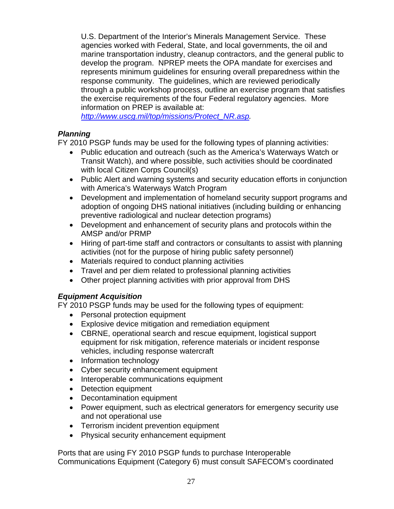U.S. Department of the Interior's Minerals Management Service. These agencies worked with Federal, State, and local governments, the oil and marine transportation industry, cleanup contractors, and the general public to develop the program. NPREP meets the OPA mandate for exercises and represents minimum guidelines for ensuring overall preparedness within the response community. The guidelines, which are reviewed periodically through a public workshop process, outline an exercise program that satisfies the exercise requirements of the four Federal regulatory agencies. More information on PREP is available at:

*http://www.uscg.mil/top/missions/Protect\_NR.asp.*

## *Planning*

FY 2010 PSGP funds may be used for the following types of planning activities:

- Public education and outreach (such as the America's Waterways Watch or Transit Watch), and where possible, such activities should be coordinated with local Citizen Corps Council(s)
- Public Alert and warning systems and security education efforts in conjunction with America's Waterways Watch Program
- Development and implementation of homeland security support programs and adoption of ongoing DHS national initiatives (including building or enhancing preventive radiological and nuclear detection programs)
- Development and enhancement of security plans and protocols within the AMSP and/or PRMP
- Hiring of part-time staff and contractors or consultants to assist with planning activities (not for the purpose of hiring public safety personnel)
- Materials required to conduct planning activities
- Travel and per diem related to professional planning activities
- Other project planning activities with prior approval from DHS

## *Equipment Acquisition*

FY 2010 PSGP funds may be used for the following types of equipment:

- Personal protection equipment
- Explosive device mitigation and remediation equipment
- CBRNE, operational search and rescue equipment, logistical support equipment for risk mitigation, reference materials or incident response vehicles, including response watercraft
- Information technology
- Cyber security enhancement equipment
- Interoperable communications equipment
- Detection equipment
- Decontamination equipment
- Power equipment, such as electrical generators for emergency security use and not operational use
- Terrorism incident prevention equipment
- Physical security enhancement equipment

Ports that are using FY 2010 PSGP funds to purchase Interoperable Communications Equipment (Category 6) must consult SAFECOM's coordinated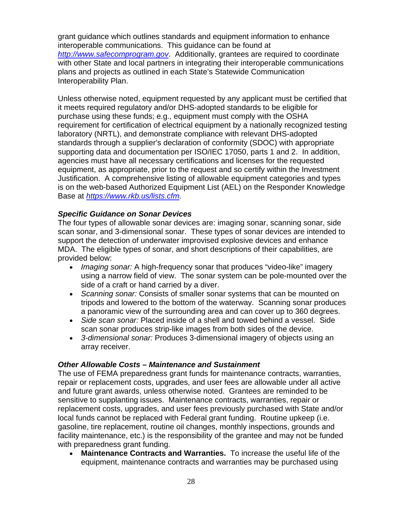grant guidance which outlines standards and equipment information to enhance interoperable communications. This guidance can be found at *http://www.safecomprogram.gov*. Additionally, grantees are required to coordinate with other State and local partners in integrating their interoperable communications plans and projects as outlined in each State's Statewide Communication Interoperability Plan.

Unless otherwise noted, equipment requested by any applicant must be certified that it meets required regulatory and/or DHS-adopted standards to be eligible for purchase using these funds; e.g., equipment must comply with the OSHA requirement for certification of electrical equipment by a nationally recognized testing laboratory (NRTL), and demonstrate compliance with relevant DHS-adopted standards through a supplier's declaration of conformity (SDOC) with appropriate supporting data and documentation per ISO/IEC 17050, parts 1 and 2. In addition, agencies must have all necessary certifications and licenses for the requested equipment, as appropriate, prior to the request and so certify within the Investment Justification. A comprehensive listing of allowable equipment categories and types is on the web-based Authorized Equipment List (AEL) on the Responder Knowledge Base at *https://www.rkb.us/lists.cfm*.

## *Specific Guidance on Sonar Devices*

The four types of allowable sonar devices are: imaging sonar, scanning sonar, side scan sonar, and 3-dimensional sonar. These types of sonar devices are intended to support the detection of underwater improvised explosive devices and enhance MDA. The eligible types of sonar, and short descriptions of their capabilities, are provided below:

- *Imaging sonar:* A high-frequency sonar that produces "video-like" imagery using a narrow field of view. The sonar system can be pole-mounted over the side of a craft or hand carried by a diver.
- *Scanning sonar:* Consists of smaller sonar systems that can be mounted on tripods and lowered to the bottom of the waterway. Scanning sonar produces a panoramic view of the surrounding area and can cover up to 360 degrees.
- *Side scan sonar:* Placed inside of a shell and towed behind a vessel. Side scan sonar produces strip-like images from both sides of the device.
- *3-dimensional sonar:* Produces 3-dimensional imagery of objects using an array receiver.

### *Other Allowable Costs – Maintenance and Sustainment*

The use of FEMA preparedness grant funds for maintenance contracts, warranties, repair or replacement costs, upgrades, and user fees are allowable under all active and future grant awards, unless otherwise noted. Grantees are reminded to be sensitive to supplanting issues. Maintenance contracts, warranties, repair or replacement costs, upgrades, and user fees previously purchased with State and/or local funds cannot be replaced with Federal grant funding. Routine upkeep (i.e. gasoline, tire replacement, routine oil changes, monthly inspections, grounds and facility maintenance, etc.) is the responsibility of the grantee and may not be funded with preparedness grant funding.

 **Maintenance Contracts and Warranties.** To increase the useful life of the equipment, maintenance contracts and warranties may be purchased using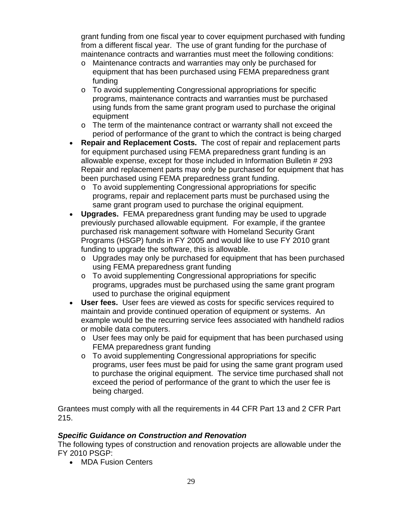grant funding from one fiscal year to cover equipment purchased with funding from a different fiscal year. The use of grant funding for the purchase of maintenance contracts and warranties must meet the following conditions:

- o Maintenance contracts and warranties may only be purchased for equipment that has been purchased using FEMA preparedness grant funding
- o To avoid supplementing Congressional appropriations for specific programs, maintenance contracts and warranties must be purchased using funds from the same grant program used to purchase the original equipment
- o The term of the maintenance contract or warranty shall not exceed the period of performance of the grant to which the contract is being charged
- **Repair and Replacement Costs.** The cost of repair and replacement parts for equipment purchased using FEMA preparedness grant funding is an allowable expense, except for those included in Information Bulletin # 293 Repair and replacement parts may only be purchased for equipment that has been purchased using FEMA preparedness grant funding.
	- o To avoid supplementing Congressional appropriations for specific programs, repair and replacement parts must be purchased using the same grant program used to purchase the original equipment.
- **Upgrades.** FEMA preparedness grant funding may be used to upgrade previously purchased allowable equipment. For example, if the grantee purchased risk management software with Homeland Security Grant Programs (HSGP) funds in FY 2005 and would like to use FY 2010 grant funding to upgrade the software, this is allowable.
	- o Upgrades may only be purchased for equipment that has been purchased using FEMA preparedness grant funding
	- o To avoid supplementing Congressional appropriations for specific programs, upgrades must be purchased using the same grant program used to purchase the original equipment
- **User fees.** User fees are viewed as costs for specific services required to maintain and provide continued operation of equipment or systems. An example would be the recurring service fees associated with handheld radios or mobile data computers.
	- o User fees may only be paid for equipment that has been purchased using FEMA preparedness grant funding
	- o To avoid supplementing Congressional appropriations for specific programs, user fees must be paid for using the same grant program used to purchase the original equipment. The service time purchased shall not exceed the period of performance of the grant to which the user fee is being charged.

Grantees must comply with all the requirements in 44 CFR Part 13 and 2 CFR Part 215.

## *Specific Guidance on Construction and Renovation*

The following types of construction and renovation projects are allowable under the FY 2010 PSGP:

• MDA Fusion Centers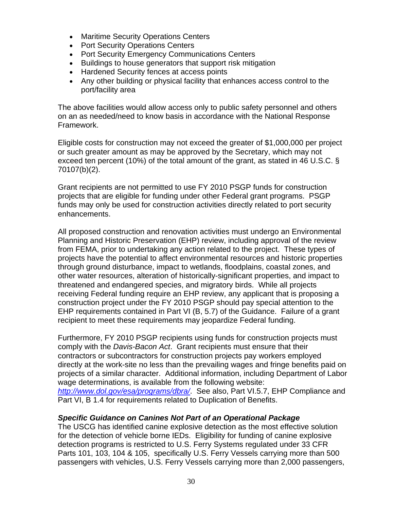- Maritime Security Operations Centers
- Port Security Operations Centers
- Port Security Emergency Communications Centers
- Buildings to house generators that support risk mitigation
- Hardened Security fences at access points
- Any other building or physical facility that enhances access control to the port/facility area

The above facilities would allow access only to public safety personnel and others on an as needed/need to know basis in accordance with the National Response Framework.

Eligible costs for construction may not exceed the greater of \$1,000,000 per project or such greater amount as may be approved by the Secretary, which may not exceed ten percent (10%) of the total amount of the grant, as stated in 46 U.S.C. § 70107(b)(2).

Grant recipients are not permitted to use FY 2010 PSGP funds for construction projects that are eligible for funding under other Federal grant programs. PSGP funds may only be used for construction activities directly related to port security enhancements.

All proposed construction and renovation activities must undergo an Environmental Planning and Historic Preservation (EHP) review, including approval of the review from FEMA, prior to undertaking any action related to the project. These types of projects have the potential to affect environmental resources and historic properties through ground disturbance, impact to wetlands, floodplains, coastal zones, and other water resources, alteration of historically-significant properties, and impact to threatened and endangered species, and migratory birds. While all projects receiving Federal funding require an EHP review, any applicant that is proposing a construction project under the FY 2010 PSGP should pay special attention to the EHP requirements contained in Part VI (B, 5.7) of the Guidance. Failure of a grant recipient to meet these requirements may jeopardize Federal funding.

Furthermore, FY 2010 PSGP recipients using funds for construction projects must comply with the *Davis-Bacon Act*. Grant recipients must ensure that their contractors or subcontractors for construction projects pay workers employed directly at the work-site no less than the prevailing wages and fringe benefits paid on projects of a similar character. Additional information, including Department of Labor wage determinations, is available from the following website: *http://www.dol.gov/esa/programs/dbra/*. See also, Part VI.5.7, EHP Compliance and Part VI, B 1.4 for requirements related to Duplication of Benefits.

## *Specific Guidance on Canines Not Part of an Operational Package*

The USCG has identified canine explosive detection as the most effective solution for the detection of vehicle borne IEDs. Eligibility for funding of canine explosive detection programs is restricted to U.S. Ferry Systems regulated under 33 CFR Parts 101, 103, 104 & 105, specifically U.S. Ferry Vessels carrying more than 500 passengers with vehicles, U.S. Ferry Vessels carrying more than 2,000 passengers,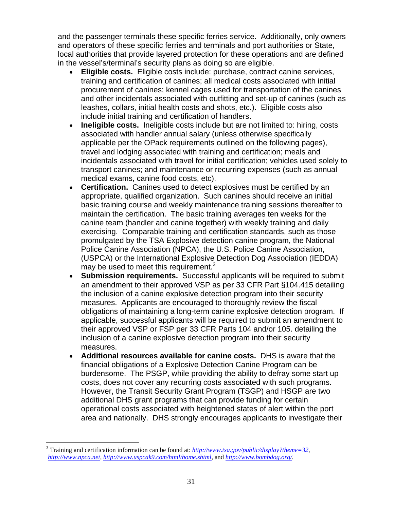and the passenger terminals these specific ferries service. Additionally, only owners and operators of these specific ferries and terminals and port authorities or State, local authorities that provide layered protection for these operations and are defined in the vessel's/terminal's security plans as doing so are eligible.

- **Eligible costs.** Eligible costs include: purchase, contract canine services, training and certification of canines; all medical costs associated with initial procurement of canines; kennel cages used for transportation of the canines and other incidentals associated with outfitting and set-up of canines (such as leashes, collars, initial health costs and shots, etc.). Eligible costs also include initial training and certification of handlers.
- **Ineligible costs.** Ineligible costs include but are not limited to: hiring, costs associated with handler annual salary (unless otherwise specifically applicable per the OPack requirements outlined on the following pages), travel and lodging associated with training and certification; meals and incidentals associated with travel for initial certification; vehicles used solely to transport canines; and maintenance or recurring expenses (such as annual medical exams, canine food costs, etc).
- **Certification.** Canines used to detect explosives must be certified by an appropriate, qualified organization. Such canines should receive an initial basic training course and weekly maintenance training sessions thereafter to maintain the certification. The basic training averages ten weeks for the canine team (handler and canine together) with weekly training and daily exercising. Comparable training and certification standards, such as those promulgated by the TSA Explosive detection canine program, the National Police Canine Association (NPCA), the U.S. Police Canine Association, (USPCA) or the International Explosive Detection Dog Association (IEDDA) may be used to meet this requirement. $3$
- **Submission requirements.** Successful applicants will be required to submit an amendment to their approved VSP as per 33 CFR Part §104.415 detailing the inclusion of a canine explosive detection program into their security measures. Applicants are encouraged to thoroughly review the fiscal obligations of maintaining a long-term canine explosive detection program. If applicable, successful applicants will be required to submit an amendment to their approved VSP or FSP per 33 CFR Parts 104 and/or 105. detailing the inclusion of a canine explosive detection program into their security measures.
- **Additional resources available for canine costs.** DHS is aware that the financial obligations of a Explosive Detection Canine Program can be burdensome. The PSGP, while providing the ability to defray some start up costs, does not cover any recurring costs associated with such programs. However, the Transit Security Grant Program (TSGP) and HSGP are two additional DHS grant programs that can provide funding for certain operational costs associated with heightened states of alert within the port area and nationally. DHS strongly encourages applicants to investigate their

 $\overline{a}$ 

<sup>3</sup> Training and certification information can be found at: *http://www.tsa.gov/public/display?theme=32*, *http://www.npca.net, http://www.uspcak9.com/html/home.shtml*, and *http://www.bombdog.org/*.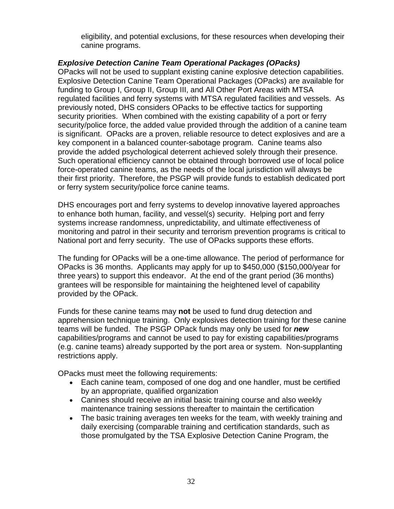eligibility, and potential exclusions, for these resources when developing their canine programs.

## *Explosive Detection Canine Team Operational Packages (OPacks)*

OPacks will not be used to supplant existing canine explosive detection capabilities. Explosive Detection Canine Team Operational Packages (OPacks) are available for funding to Group I, Group II, Group III, and All Other Port Areas with MTSA regulated facilities and ferry systems with MTSA regulated facilities and vessels. As previously noted, DHS considers OPacks to be effective tactics for supporting security priorities. When combined with the existing capability of a port or ferry security/police force, the added value provided through the addition of a canine team is significant. OPacks are a proven, reliable resource to detect explosives and are a key component in a balanced counter-sabotage program. Canine teams also provide the added psychological deterrent achieved solely through their presence. Such operational efficiency cannot be obtained through borrowed use of local police force-operated canine teams, as the needs of the local jurisdiction will always be their first priority. Therefore, the PSGP will provide funds to establish dedicated port or ferry system security/police force canine teams.

DHS encourages port and ferry systems to develop innovative layered approaches to enhance both human, facility, and vessel(s) security. Helping port and ferry systems increase randomness, unpredictability, and ultimate effectiveness of monitoring and patrol in their security and terrorism prevention programs is critical to National port and ferry security. The use of OPacks supports these efforts.

The funding for OPacks will be a one-time allowance. The period of performance for OPacks is 36 months. Applicants may apply for up to \$450,000 (\$150,000/year for three years) to support this endeavor. At the end of the grant period (36 months) grantees will be responsible for maintaining the heightened level of capability provided by the OPack.

Funds for these canine teams may **not** be used to fund drug detection and apprehension technique training. Only explosives detection training for these canine teams will be funded. The PSGP OPack funds may only be used for *new* capabilities/programs and cannot be used to pay for existing capabilities/programs (e.g. canine teams) already supported by the port area or system. Non-supplanting restrictions apply.

OPacks must meet the following requirements:

- Each canine team, composed of one dog and one handler, must be certified by an appropriate, qualified organization
- Canines should receive an initial basic training course and also weekly maintenance training sessions thereafter to maintain the certification
- The basic training averages ten weeks for the team, with weekly training and daily exercising (comparable training and certification standards, such as those promulgated by the TSA Explosive Detection Canine Program, the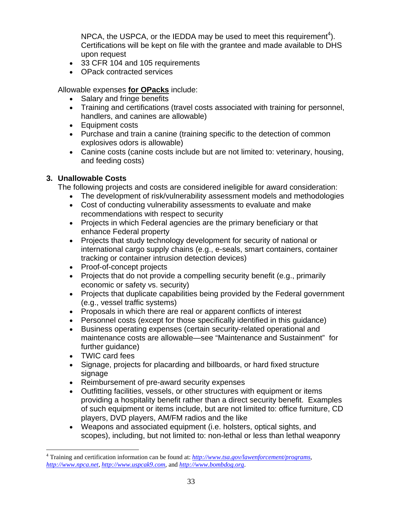NPCA, the USPCA, or the IEDDA may be used to meet this requirement<sup>4</sup>). Certifications will be kept on file with the grantee and made available to DHS upon request

- 33 CFR 104 and 105 requirements
- OPack contracted services

Allowable expenses **for OPacks** include:

- Salary and fringe benefits
- Training and certifications (travel costs associated with training for personnel, handlers, and canines are allowable)
- Equipment costs
- Purchase and train a canine (training specific to the detection of common explosives odors is allowable)
- Canine costs (canine costs include but are not limited to: veterinary, housing, and feeding costs)

## **3. Unallowable Costs**

The following projects and costs are considered ineligible for award consideration:

- The development of risk/vulnerability assessment models and methodologies
- Cost of conducting vulnerability assessments to evaluate and make recommendations with respect to security
- Projects in which Federal agencies are the primary beneficiary or that enhance Federal property
- Projects that study technology development for security of national or international cargo supply chains (e.g., e-seals, smart containers, container tracking or container intrusion detection devices)
- Proof-of-concept projects
- Projects that do not provide a compelling security benefit (e.g., primarily economic or safety vs. security)
- Projects that duplicate capabilities being provided by the Federal government (e.g., vessel traffic systems)
- Proposals in which there are real or apparent conflicts of interest
- Personnel costs (except for those specifically identified in this guidance)
- Business operating expenses (certain security-related operational and maintenance costs are allowable—see "Maintenance and Sustainment" for further guidance)
- TWIC card fees

 $\overline{a}$ 

- Signage, projects for placarding and billboards, or hard fixed structure signage
- Reimbursement of pre-award security expenses
- Outfitting facilities, vessels, or other structures with equipment or items providing a hospitality benefit rather than a direct security benefit. Examples of such equipment or items include, but are not limited to: office furniture, CD players, DVD players, AM/FM radios and the like
- Weapons and associated equipment (i.e. holsters, optical sights, and scopes), including, but not limited to: non-lethal or less than lethal weaponry

<sup>4</sup> Training and certification information can be found at: *http://www.tsa.gov/lawenforcement/programs, http://www.npca.net*, *http://www.uspcak9.com*, and *http://www.bombdog.org*.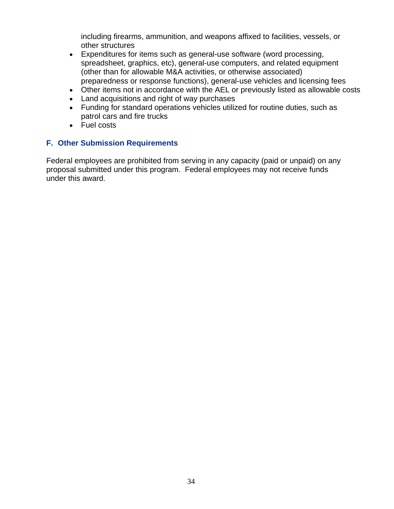including firearms, ammunition, and weapons affixed to facilities, vessels, or other structures

- Expenditures for items such as general-use software (word processing, spreadsheet, graphics, etc), general-use computers, and related equipment (other than for allowable M&A activities, or otherwise associated) preparedness or response functions), general-use vehicles and licensing fees
- Other items not in accordance with the AEL or previously listed as allowable costs
- Land acquisitions and right of way purchases
- Funding for standard operations vehicles utilized for routine duties, such as patrol cars and fire trucks
- Fuel costs

## **F. Other Submission Requirements**

Federal employees are prohibited from serving in any capacity (paid or unpaid) on any proposal submitted under this program. Federal employees may not receive funds under this award.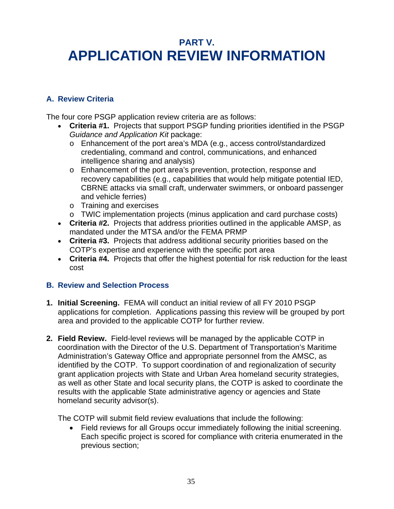## **PART V. APPLICATION REVIEW INFORMATION**

## **A. Review Criteria**

The four core PSGP application review criteria are as follows:

- **Criteria #1.** Projects that support PSGP funding priorities identified in the PSGP *Guidance and Application Kit* package:
	- o Enhancement of the port area's MDA (e.g., access control/standardized credentialing, command and control, communications, and enhanced intelligence sharing and analysis)
	- o Enhancement of the port area's prevention, protection, response and recovery capabilities (e.g., capabilities that would help mitigate potential IED, CBRNE attacks via small craft, underwater swimmers, or onboard passenger and vehicle ferries)
	- o Training and exercises
	- o TWIC implementation projects (minus application and card purchase costs)
- **Criteria #2.** Projects that address priorities outlined in the applicable AMSP, as mandated under the MTSA and/or the FEMA PRMP
- **Criteria #3.** Projects that address additional security priorities based on the COTP's expertise and experience with the specific port area
- **Criteria #4.** Projects that offer the highest potential for risk reduction for the least cost

## **B. Review and Selection Process**

- **1. Initial Screening.** FEMA will conduct an initial review of all FY 2010 PSGP applications for completion. Applications passing this review will be grouped by port area and provided to the applicable COTP for further review.
- **2. Field Review.** Field-level reviews will be managed by the applicable COTP in coordination with the Director of the U.S. Department of Transportation's Maritime Administration's Gateway Office and appropriate personnel from the AMSC, as identified by the COTP. To support coordination of and regionalization of security grant application projects with State and Urban Area homeland security strategies, as well as other State and local security plans, the COTP is asked to coordinate the results with the applicable State administrative agency or agencies and State homeland security advisor(s).

The COTP will submit field review evaluations that include the following:

 Field reviews for all Groups occur immediately following the initial screening. Each specific project is scored for compliance with criteria enumerated in the previous section;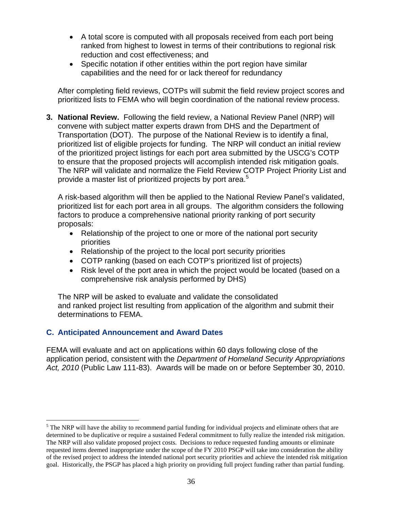- A total score is computed with all proposals received from each port being ranked from highest to lowest in terms of their contributions to regional risk reduction and cost effectiveness; and
- Specific notation if other entities within the port region have similar capabilities and the need for or lack thereof for redundancy

After completing field reviews, COTPs will submit the field review project scores and prioritized lists to FEMA who will begin coordination of the national review process.

**3. National Review.** Following the field review, a National Review Panel (NRP) will convene with subject matter experts drawn from DHS and the Department of Transportation (DOT). The purpose of the National Review is to identify a final, prioritized list of eligible projects for funding. The NRP will conduct an initial review of the prioritized project listings for each port area submitted by the USCG's COTP to ensure that the proposed projects will accomplish intended risk mitigation goals. The NRP will validate and normalize the Field Review COTP Project Priority List and provide a master list of prioritized projects by port area.<sup>5</sup>

A risk-based algorithm will then be applied to the National Review Panel's validated, prioritized list for each port area in all groups. The algorithm considers the following factors to produce a comprehensive national priority ranking of port security proposals:

- Relationship of the project to one or more of the national port security priorities
- Relationship of the project to the local port security priorities
- COTP ranking (based on each COTP's prioritized list of projects)
- Risk level of the port area in which the project would be located (based on a comprehensive risk analysis performed by DHS)

The NRP will be asked to evaluate and validate the consolidated and ranked project list resulting from application of the algorithm and submit their determinations to FEMA.

## **C. Anticipated Announcement and Award Dates**

1

FEMA will evaluate and act on applications within 60 days following close of the application period, consistent with the *Department of Homeland Security Appropriations Act, 2010* (Public Law 111-83). Awards will be made on or before September 30, 2010.

 $<sup>5</sup>$  The NRP will have the ability to recommend partial funding for individual projects and eliminate others that are</sup> determined to be duplicative or require a sustained Federal commitment to fully realize the intended risk mitigation. The NRP will also validate proposed project costs. Decisions to reduce requested funding amounts or eliminate requested items deemed inappropriate under the scope of the FY 2010 PSGP will take into consideration the ability of the revised project to address the intended national port security priorities and achieve the intended risk mitigation goal. Historically, the PSGP has placed a high priority on providing full project funding rather than partial funding.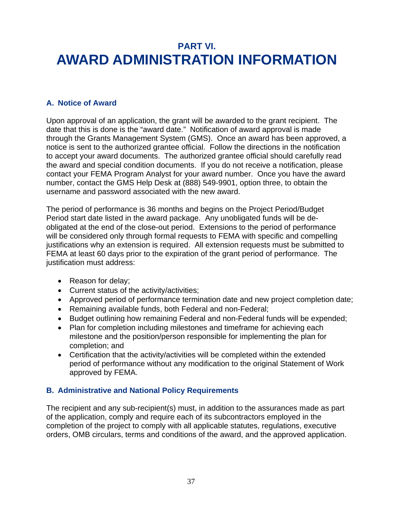## **PART VI. AWARD ADMINISTRATION INFORMATION**

## **A. Notice of Award**

Upon approval of an application, the grant will be awarded to the grant recipient. The date that this is done is the "award date." Notification of award approval is made through the Grants Management System (GMS). Once an award has been approved, a notice is sent to the authorized grantee official.Follow the directions in the notification to accept your award documents. The authorized grantee official should carefully read the award and special condition documents. If you do not receive a notification, please contact your FEMA Program Analyst for your award number. Once you have the award number, contact the GMS Help Desk at (888) 549-9901, option three, to obtain the username and password associated with the new award.

The period of performance is 36 months and begins on the Project Period/Budget Period start date listed in the award package. Any unobligated funds will be deobligated at the end of the close-out period. Extensions to the period of performance will be considered only through formal requests to FEMA with specific and compelling justifications why an extension is required. All extension requests must be submitted to FEMA at least 60 days prior to the expiration of the grant period of performance. The justification must address:

- Reason for delay;
- Current status of the activity/activities;
- Approved period of performance termination date and new project completion date;
- Remaining available funds, both Federal and non-Federal;
- Budget outlining how remaining Federal and non-Federal funds will be expended;
- Plan for completion including milestones and timeframe for achieving each milestone and the position/person responsible for implementing the plan for completion; and
- Certification that the activity/activities will be completed within the extended period of performance without any modification to the original Statement of Work approved by FEMA.

## **B. Administrative and National Policy Requirements**

The recipient and any sub-recipient(s) must, in addition to the assurances made as part of the application, comply and require each of its subcontractors employed in the completion of the project to comply with all applicable statutes, regulations, executive orders, OMB circulars, terms and conditions of the award, and the approved application.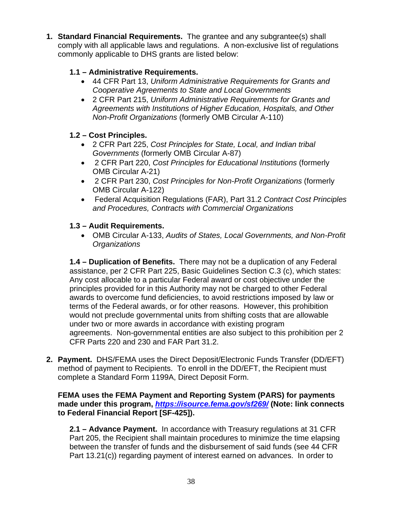**1. Standard Financial Requirements.** The grantee and any subgrantee(s) shall comply with all applicable laws and regulations. A non-exclusive list of regulations commonly applicable to DHS grants are listed below:

## **1.1 – Administrative Requirements.**

- 44 CFR Part 13, *Uniform Administrative Requirements for Grants and Cooperative Agreements to State and Local Governments*
- 2 CFR Part 215, *Uniform Administrative Requirements for Grants and Agreements with Institutions of Higher Education, Hospitals, and Other Non-Profit Organizations* (formerly OMB Circular A-110)

## **1.2 – Cost Principles.**

- 2 CFR Part 225, *Cost Principles for State, Local, and Indian tribal Governments* (formerly OMB Circular A-87)
- 2 CFR Part 220, *Cost Principles for Educational Institutions* (formerly OMB Circular A-21)
- 2 CFR Part 230, *Cost Principles for Non-Profit Organizations* (formerly OMB Circular A-122)
- Federal Acquisition Regulations (FAR), Part 31.2 *Contract Cost Principles and Procedures, Contracts with Commercial Organizations*

## **1.3 – Audit Requirements.**

 OMB Circular A-133, *Audits of States, Local Governments, and Non-Profit Organizations* 

**1.4 – Duplication of Benefits.** There may not be a duplication of any Federal assistance, per 2 CFR Part 225, Basic Guidelines Section C.3 (c), which states: Any cost allocable to a particular Federal award or cost objective under the principles provided for in this Authority may not be charged to other Federal awards to overcome fund deficiencies, to avoid restrictions imposed by law or terms of the Federal awards, or for other reasons. However, this prohibition would not preclude governmental units from shifting costs that are allowable under two or more awards in accordance with existing program agreements. Non-governmental entities are also subject to this prohibition per 2 CFR Parts 220 and 230 and FAR Part 31.2.

**2. Payment.** DHS/FEMA uses the Direct Deposit/Electronic Funds Transfer (DD/EFT) method of payment to Recipients. To enroll in the DD/EFT, the Recipient must complete a Standard Form 1199A, Direct Deposit Form.

## **FEMA uses the FEMA Payment and Reporting System (PARS) for payments made under this program,** *https://isource.fema.gov/sf269/* **(Note: link connects to Federal Financial Report [SF-425]).**

**2.1 – Advance Payment.** In accordance with Treasury regulations at 31 CFR Part 205, the Recipient shall maintain procedures to minimize the time elapsing between the transfer of funds and the disbursement of said funds (see 44 CFR Part 13.21(c)) regarding payment of interest earned on advances. In order to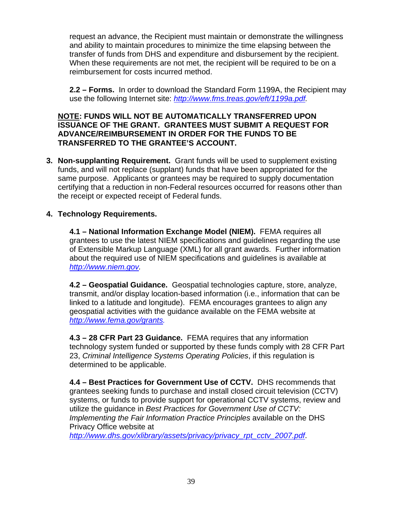request an advance, the Recipient must maintain or demonstrate the willingness and ability to maintain procedures to minimize the time elapsing between the transfer of funds from DHS and expenditure and disbursement by the recipient. When these requirements are not met, the recipient will be required to be on a reimbursement for costs incurred method.

**2.2 – Forms.** In order to download the Standard Form 1199A, the Recipient may use the following Internet site: *http://www.fms.treas.gov/eft/1199a.pdf.* 

### **NOTE: FUNDS WILL NOT BE AUTOMATICALLY TRANSFERRED UPON ISSUANCE OF THE GRANT. GRANTEES MUST SUBMIT A REQUEST FOR ADVANCE/REIMBURSEMENT IN ORDER FOR THE FUNDS TO BE TRANSFERRED TO THE GRANTEE'S ACCOUNT.**

**3. Non-supplanting Requirement.** Grant funds will be used to supplement existing funds, and will not replace (supplant) funds that have been appropriated for the same purpose. Applicants or grantees may be required to supply documentation certifying that a reduction in non-Federal resources occurred for reasons other than the receipt or expected receipt of Federal funds.

## **4. Technology Requirements.**

**4.1 – National Information Exchange Model (NIEM).** FEMA requires all grantees to use the latest NIEM specifications and guidelines regarding the use of Extensible Markup Language (XML) for all grant awards.Further information about the required use of NIEM specifications and guidelines is available at *http://www.niem.gov.* 

**4.2 – Geospatial Guidance.** Geospatial technologies capture, store, analyze, transmit, and/or display location-based information (i.e., information that can be linked to a latitude and longitude). FEMA encourages grantees to align any geospatial activities with the guidance available on the FEMA website at *http://www.fema.gov/grants.* 

**4.3 – 28 CFR Part 23 Guidance.** FEMA requires that any information technology system funded or supported by these funds comply with 28 CFR Part 23, *Criminal Intelligence Systems Operating Policies*, if this regulation is determined to be applicable.

**4.4 – Best Practices for Government Use of CCTV.** DHS recommends that grantees seeking funds to purchase and install closed circuit television (CCTV) systems, or funds to provide support for operational CCTV systems, review and utilize the guidance in *Best Practices for Government Use of CCTV: Implementing the Fair Information Practice Principles* available on the DHS Privacy Office website at

*http://www.dhs.gov/xlibrary/assets/privacy/privacy\_rpt\_cctv\_2007.pdf*.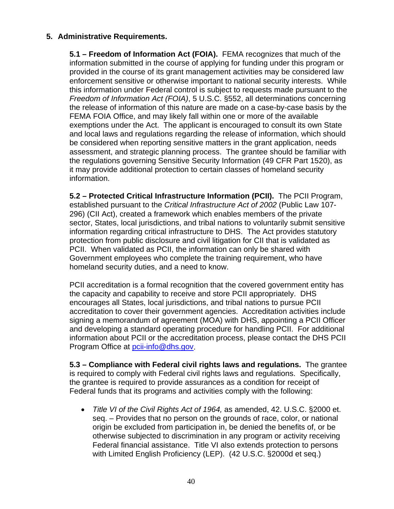## **5. Administrative Requirements.**

**5.1 – Freedom of Information Act (FOIA).** FEMA recognizes that much of the information submitted in the course of applying for funding under this program or provided in the course of its grant management activities may be considered law enforcement sensitive or otherwise important to national security interests. While this information under Federal control is subject to requests made pursuant to the *Freedom of Information Act (FOIA)*, 5 U.S.C. §552, all determinations concerning the release of information of this nature are made on a case-by-case basis by the FEMA FOIA Office, and may likely fall within one or more of the available exemptions under the Act. The applicant is encouraged to consult its own State and local laws and regulations regarding the release of information, which should be considered when reporting sensitive matters in the grant application, needs assessment, and strategic planning process. The grantee should be familiar with the regulations governing Sensitive Security Information (49 CFR Part 1520), as it may provide additional protection to certain classes of homeland security information.

**5.2 – Protected Critical Infrastructure Information (PCII).** The PCII Program, established pursuant to the *Critical Infrastructure Act of 2002* (Public Law 107- 296) (CII Act), created a framework which enables members of the private sector, States, local jurisdictions, and tribal nations to voluntarily submit sensitive information regarding critical infrastructure to DHS. The Act provides statutory protection from public disclosure and civil litigation for CII that is validated as PCII. When validated as PCII, the information can only be shared with Government employees who complete the training requirement, who have homeland security duties, and a need to know.

PCII accreditation is a formal recognition that the covered government entity has the capacity and capability to receive and store PCII appropriately. DHS encourages all States, local jurisdictions, and tribal nations to pursue PCII accreditation to cover their government agencies. Accreditation activities include signing a memorandum of agreement (MOA) with DHS, appointing a PCII Officer and developing a standard operating procedure for handling PCII. For additional information about PCII or the accreditation process, please contact the DHS PCII Program Office at pcii-info@dhs.gov.

**5.3 – Compliance with Federal civil rights laws and regulations.** The grantee is required to comply with Federal civil rights laws and regulations. Specifically, the grantee is required to provide assurances as a condition for receipt of Federal funds that its programs and activities comply with the following:

 *Title VI of the Civil Rights Act of 1964,* as amended, 42. U.S.C. §2000 et. seq. – Provides that no person on the grounds of race, color, or national origin be excluded from participation in, be denied the benefits of, or be otherwise subjected to discrimination in any program or activity receiving Federal financial assistance. Title VI also extends protection to persons with Limited English Proficiency (LEP). (42 U.S.C. §2000d et seq.)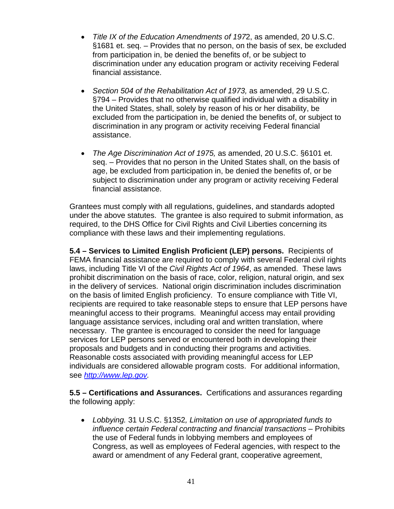- *Title IX of the Education Amendments of 197*2, as amended, 20 U.S.C. §1681 et. seq. – Provides that no person, on the basis of sex, be excluded from participation in, be denied the benefits of, or be subject to discrimination under any education program or activity receiving Federal financial assistance.
- Section 504 of the Rehabilitation Act of 1973, as amended, 29 U.S.C. §794 – Provides that no otherwise qualified individual with a disability in the United States, shall, solely by reason of his or her disability, be excluded from the participation in, be denied the benefits of, or subject to discrimination in any program or activity receiving Federal financial assistance.
- *The Age Discrimination Act of 1975,* as amended, 20 U.S.C. §6101 et. seq. – Provides that no person in the United States shall, on the basis of age, be excluded from participation in, be denied the benefits of, or be subject to discrimination under any program or activity receiving Federal financial assistance.

Grantees must comply with all regulations, guidelines, and standards adopted under the above statutes. The grantee is also required to submit information, as required, to the DHS Office for Civil Rights and Civil Liberties concerning its compliance with these laws and their implementing regulations.

**5.4 – Services to Limited English Proficient (LEP) persons.** Recipients of FEMA financial assistance are required to comply with several Federal civil rights laws, including Title VI of the *Civil Rights Act of 1964*, as amended. These laws prohibit discrimination on the basis of race, color, religion, natural origin, and sex in the delivery of services. National origin discrimination includes discrimination on the basis of limited English proficiency. To ensure compliance with Title VI, recipients are required to take reasonable steps to ensure that LEP persons have meaningful access to their programs. Meaningful access may entail providing language assistance services, including oral and written translation, where necessary. The grantee is encouraged to consider the need for language services for LEP persons served or encountered both in developing their proposals and budgets and in conducting their programs and activities. Reasonable costs associated with providing meaningful access for LEP individuals are considered allowable program costs. For additional information, see *http://www.lep.gov.* 

**5.5 – Certifications and Assurances.** Certifications and assurances regarding the following apply:

 *Lobbying.* 31 U.S.C. §1352*, Limitation on use of appropriated funds to influence certain Federal contracting and financial transactions – Prohibits* the use of Federal funds in lobbying members and employees of Congress, as well as employees of Federal agencies, with respect to the award or amendment of any Federal grant, cooperative agreement,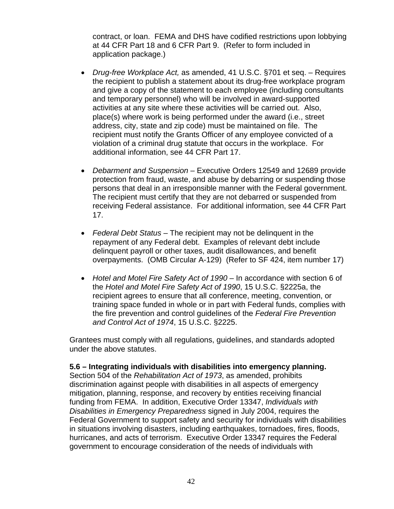contract, or loan. FEMA and DHS have codified restrictions upon lobbying at 44 CFR Part 18 and 6 CFR Part 9. (Refer to form included in application package.)

- *Drug-free Workplace Act,* as amended, 41 U.S.C. §701 et seq. Requires the recipient to publish a statement about its drug-free workplace program and give a copy of the statement to each employee (including consultants and temporary personnel) who will be involved in award-supported activities at any site where these activities will be carried out. Also, place(s) where work is being performed under the award (i.e., street address, city, state and zip code) must be maintained on file. The recipient must notify the Grants Officer of any employee convicted of a violation of a criminal drug statute that occurs in the workplace. For additional information, see 44 CFR Part 17.
- *Debarment and Suspension –* Executive Orders 12549 and 12689 provide protection from fraud, waste, and abuse by debarring or suspending those persons that deal in an irresponsible manner with the Federal government. The recipient must certify that they are not debarred or suspended from receiving Federal assistance. For additional information, see 44 CFR Part 17.
- *Federal Debt Status*  The recipient may not be delinquent in the repayment of any Federal debt. Examples of relevant debt include delinquent payroll or other taxes, audit disallowances, and benefit overpayments. (OMB Circular A-129) (Refer to SF 424, item number 17)
- Hotel and Motel Fire Safety Act of 1990 In accordance with section 6 of the *Hotel and Motel Fire Safety Act of 1990*, 15 U.S.C. §2225a, the recipient agrees to ensure that all conference, meeting, convention, or training space funded in whole or in part with Federal funds, complies with the fire prevention and control guidelines of the *Federal Fire Prevention and Control Act of 1974*, 15 U.S.C. §2225.

Grantees must comply with all regulations, guidelines, and standards adopted under the above statutes.

#### **5.6 – Integrating individuals with disabilities into emergency planning.**

Section 504 of the *Rehabilitation Act of 1973*, as amended, prohibits discrimination against people with disabilities in all aspects of emergency mitigation, planning, response, and recovery by entities receiving financial funding from FEMA. In addition, Executive Order 13347, *Individuals with Disabilities in Emergency Preparedness* signed in July 2004, requires the Federal Government to support safety and security for individuals with disabilities in situations involving disasters, including earthquakes, tornadoes, fires, floods, hurricanes, and acts of terrorism. Executive Order 13347 requires the Federal government to encourage consideration of the needs of individuals with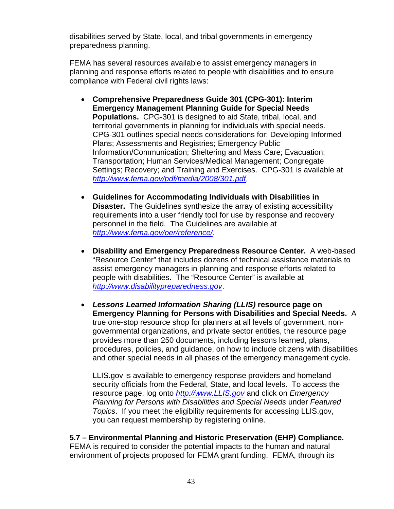disabilities served by State, local, and tribal governments in emergency preparedness planning.

FEMA has several resources available to assist emergency managers in planning and response efforts related to people with disabilities and to ensure compliance with Federal civil rights laws:

- **Comprehensive Preparedness Guide 301 (CPG-301): Interim Emergency Management Planning Guide for Special Needs Populations.** CPG-301 is designed to aid State, tribal, local, and territorial governments in planning for individuals with special needs. CPG-301 outlines special needs considerations for: Developing Informed Plans; Assessments and Registries; Emergency Public Information/Communication; Sheltering and Mass Care; Evacuation; Transportation; Human Services/Medical Management; Congregate Settings; Recovery; and Training and Exercises. CPG-301 is available at *http://www.fema.gov/pdf/media/2008/301.pdf*.
- **Guidelines for Accommodating Individuals with Disabilities in Disaster.** The Guidelines synthesize the array of existing accessibility requirements into a user friendly tool for use by response and recovery personnel in the field. The Guidelines are available at *http://www.fema.gov/oer/reference/*.
- **Disability and Emergency Preparedness Resource Center.** A web-based "Resource Center" that includes dozens of technical assistance materials to assist emergency managers in planning and response efforts related to people with disabilities. The "Resource Center" is available at *http://www.disabilitypreparedness.gov*.
- *Lessons Learned Information Sharing (LLIS)* **resource page on Emergency Planning for Persons with Disabilities and Special Needs.** A true one-stop resource shop for planners at all levels of government, nongovernmental organizations, and private sector entities, the resource page provides more than 250 documents, including lessons learned, plans, procedures, policies, and guidance, on how to include citizens with disabilities and other special needs in all phases of the emergency management cycle.

LLIS.gov is available to emergency response providers and homeland security officials from the Federal, State, and local levels. To access the resource page, log onto *http://www.LLIS.gov* and click on *Emergency Planning for Persons with Disabilities and Special Needs* under *Featured Topics*. If you meet the eligibility requirements for accessing LLIS.gov, you can request membership by registering online.

### **5.7 – Environmental Planning and Historic Preservation (EHP) Compliance.**

FEMA is required to consider the potential impacts to the human and natural environment of projects proposed for FEMA grant funding. FEMA, through its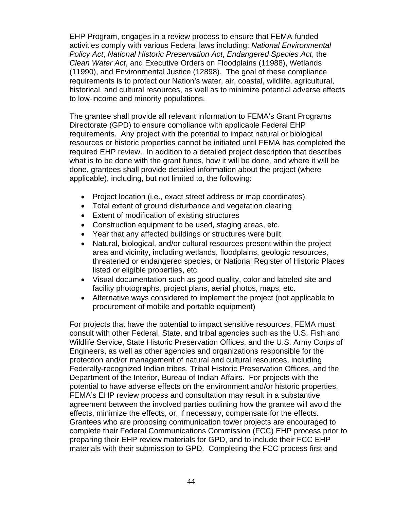EHP Program, engages in a review process to ensure that FEMA-funded activities comply with various Federal laws including: *National Environmental Policy Act*, *National Historic Preservation Act*, *Endangered Species Act*, the *Clean Water Act*, and Executive Orders on Floodplains (11988), Wetlands (11990), and Environmental Justice (12898). The goal of these compliance requirements is to protect our Nation's water, air, coastal, wildlife, agricultural, historical, and cultural resources, as well as to minimize potential adverse effects to low-income and minority populations.

The grantee shall provide all relevant information to FEMA's Grant Programs Directorate (GPD) to ensure compliance with applicable Federal EHP requirements. Any project with the potential to impact natural or biological resources or historic properties cannot be initiated until FEMA has completed the required EHP review. In addition to a detailed project description that describes what is to be done with the grant funds, how it will be done, and where it will be done, grantees shall provide detailed information about the project (where applicable), including, but not limited to, the following:

- Project location (i.e., exact street address or map coordinates)
- Total extent of ground disturbance and vegetation clearing
- Extent of modification of existing structures
- Construction equipment to be used, staging areas, etc.
- Year that any affected buildings or structures were built
- Natural, biological, and/or cultural resources present within the project area and vicinity, including wetlands, floodplains, geologic resources, threatened or endangered species, or National Register of Historic Places listed or eligible properties, etc.
- Visual documentation such as good quality, color and labeled site and facility photographs, project plans, aerial photos, maps, etc.
- Alternative ways considered to implement the project (not applicable to procurement of mobile and portable equipment)

For projects that have the potential to impact sensitive resources, FEMA must consult with other Federal, State, and tribal agencies such as the U.S. Fish and Wildlife Service, State Historic Preservation Offices, and the U.S. Army Corps of Engineers, as well as other agencies and organizations responsible for the protection and/or management of natural and cultural resources, including Federally-recognized Indian tribes, Tribal Historic Preservation Offices, and the Department of the Interior, Bureau of Indian Affairs. For projects with the potential to have adverse effects on the environment and/or historic properties, FEMA's EHP review process and consultation may result in a substantive agreement between the involved parties outlining how the grantee will avoid the effects, minimize the effects, or, if necessary, compensate for the effects. Grantees who are proposing communication tower projects are encouraged to complete their Federal Communications Commission (FCC) EHP process prior to preparing their EHP review materials for GPD, and to include their FCC EHP materials with their submission to GPD. Completing the FCC process first and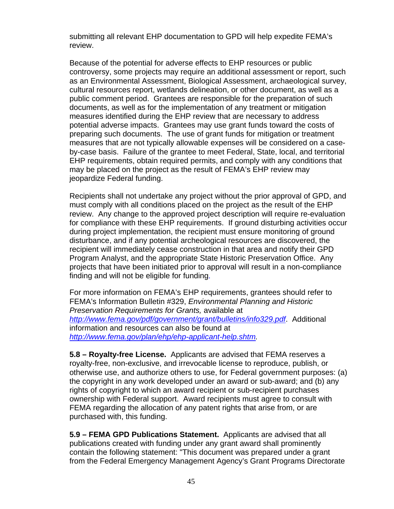submitting all relevant EHP documentation to GPD will help expedite FEMA's review.

Because of the potential for adverse effects to EHP resources or public controversy, some projects may require an additional assessment or report, such as an Environmental Assessment, Biological Assessment, archaeological survey, cultural resources report, wetlands delineation, or other document, as well as a public comment period. Grantees are responsible for the preparation of such documents, as well as for the implementation of any treatment or mitigation measures identified during the EHP review that are necessary to address potential adverse impacts. Grantees may use grant funds toward the costs of preparing such documents. The use of grant funds for mitigation or treatment measures that are not typically allowable expenses will be considered on a caseby-case basis. Failure of the grantee to meet Federal, State, local, and territorial EHP requirements, obtain required permits, and comply with any conditions that may be placed on the project as the result of FEMA's EHP review may jeopardize Federal funding.

Recipients shall not undertake any project without the prior approval of GPD, and must comply with all conditions placed on the project as the result of the EHP review. Any change to the approved project description will require re-evaluation for compliance with these EHP requirements. If ground disturbing activities occur during project implementation, the recipient must ensure monitoring of ground disturbance, and if any potential archeological resources are discovered, the recipient will immediately cease construction in that area and notify their GPD Program Analyst, and the appropriate State Historic Preservation Office. Any projects that have been initiated prior to approval will result in a non-compliance finding and will not be eligible for funding.

For more information on FEMA's EHP requirements, grantees should refer to FEMA's Information Bulletin #329, *Environmental Planning and Historic Preservation Requirements for Grants,* available at *http://www.fema.gov/pdf/government/grant/bulletins/info329.pdf*. Additional information and resources can also be found at *http://www.fema.gov/plan/ehp/ehp-applicant-help.shtm.*

**5.8 – Royalty-free License.** Applicants are advised that FEMA reserves a royalty-free, non-exclusive, and irrevocable license to reproduce, publish, or otherwise use, and authorize others to use, for Federal government purposes: (a) the copyright in any work developed under an award or sub-award; and (b) any rights of copyright to which an award recipient or sub-recipient purchases ownership with Federal support. Award recipients must agree to consult with FEMA regarding the allocation of any patent rights that arise from, or are purchased with, this funding.

**5.9 – FEMA GPD Publications Statement.** Applicants are advised that all publications created with funding under any grant award shall prominently contain the following statement: "This document was prepared under a grant from the Federal Emergency Management Agency's Grant Programs Directorate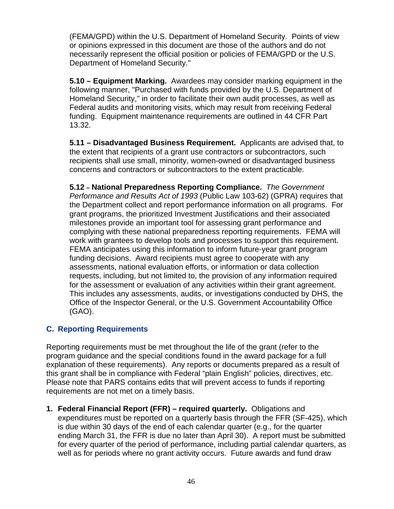(FEMA/GPD) within the U.S. Department of Homeland Security. Points of view or opinions expressed in this document are those of the authors and do not necessarily represent the official position or policies of FEMA/GPD or the U.S. Department of Homeland Security."

**5.10 – Equipment Marking.** Awardees may consider marking equipment in the following manner, "Purchased with funds provided by the U.S. Department of Homeland Security," in order to facilitate their own audit processes, as well as Federal audits and monitoring visits, which may result from receiving Federal funding. Equipment maintenance requirements are outlined in 44 CFR Part 13.32.

**5.11 – Disadvantaged Business Requirement.** Applicants are advised that, to the extent that recipients of a grant use contractors or subcontractors, such recipients shall use small, minority, women-owned or disadvantaged business concerns and contractors or subcontractors to the extent practicable.

**5.12 – National Preparedness Reporting Compliance.** *The Government Performance and Results Act of 1993* (Public Law 103-62) (GPRA) requires that the Department collect and report performance information on all programs. For grant programs, the prioritized Investment Justifications and their associated milestones provide an important tool for assessing grant performance and complying with these national preparedness reporting requirements. FEMA will work with grantees to develop tools and processes to support this requirement. FEMA anticipates using this information to inform future-year grant program funding decisions. Award recipients must agree to cooperate with any assessments, national evaluation efforts, or information or data collection requests, including, but not limited to, the provision of any information required for the assessment or evaluation of any activities within their grant agreement. This includes any assessments, audits, or investigations conducted by DHS, the Office of the Inspector General, or the U.S. Government Accountability Office (GAO).

## **C. Reporting Requirements**

Reporting requirements must be met throughout the life of the grant (refer to the program guidance and the special conditions found in the award package for a full explanation of these requirements). Any reports or documents prepared as a result of this grant shall be in compliance with Federal "plain English" policies, directives, etc. Please note that PARS contains edits that will prevent access to funds if reporting requirements are not met on a timely basis.

**1. Federal Financial Report (FFR) – required quarterly.** Obligations and expenditures must be reported on a quarterly basis through the FFR (SF-425), which is due within 30 days of the end of each calendar quarter (e.g., for the quarter ending March 31, the FFR is due no later than April 30). A report must be submitted for every quarter of the period of performance, including partial calendar quarters, as well as for periods where no grant activity occurs. Future awards and fund draw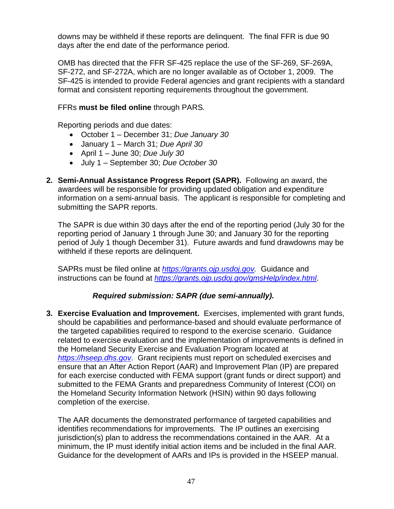downs may be withheld if these reports are delinquent. The final FFR is due 90 days after the end date of the performance period.

OMB has directed that the FFR SF-425 replace the use of the SF-269, SF-269A, SF-272, and SF-272A, which are no longer available as of October 1, 2009. The SF-425 is intended to provide Federal agencies and grant recipients with a standard format and consistent reporting requirements throughout the government.

## FFRs **must be filed online** through PARS*.*

Reporting periods and due dates:

- October 1 December 31; *Due January 30*
- January 1 March 31; *Due April 30*
- April 1 June 30; *Due July 30*
- July 1 September 30; *Due October 30*
- **2. Semi-Annual Assistance Progress Report (SAPR).** Following an award, the awardees will be responsible for providing updated obligation and expenditure information on a semi-annual basis. The applicant is responsible for completing and submitting the SAPR reports.

The SAPR is due within 30 days after the end of the reporting period (July 30 for the reporting period of January 1 through June 30; and January 30 for the reporting period of July 1 though December 31). Future awards and fund drawdowns may be withheld if these reports are delinquent.

SAPRs must be filed online at *https://grants.ojp.usdoj.gov.* Guidance and instructions can be found at *https://grants.ojp.usdoj.gov/gmsHelp/index.html*.

## *Required submission: SAPR (due semi-annually).*

**3. Exercise Evaluation and Improvement.** Exercises, implemented with grant funds, should be capabilities and performance-based and should evaluate performance of the targeted capabilities required to respond to the exercise scenario. Guidance related to exercise evaluation and the implementation of improvements is defined in the Homeland Security Exercise and Evaluation Program located at *https://hseep.dhs.gov*. Grant recipients must report on scheduled exercises and ensure that an After Action Report (AAR) and Improvement Plan (IP) are prepared for each exercise conducted with FEMA support (grant funds or direct support) and submitted to the FEMA Grants and preparedness Community of Interest (COI) on the Homeland Security Information Network (HSIN) within 90 days following completion of the exercise.

The AAR documents the demonstrated performance of targeted capabilities and identifies recommendations for improvements. The IP outlines an exercising jurisdiction(s) plan to address the recommendations contained in the AAR. At a minimum, the IP must identify initial action items and be included in the final AAR. Guidance for the development of AARs and IPs is provided in the HSEEP manual.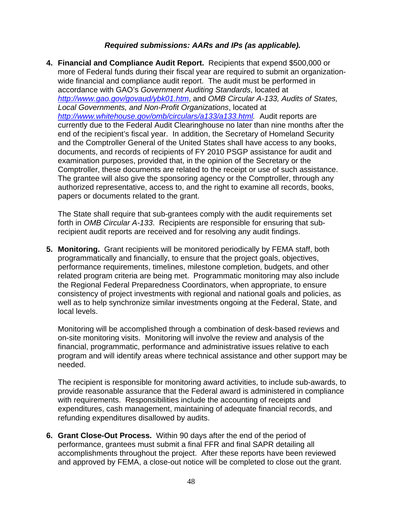## *Required submissions: AARs and IPs (as applicable).*

**4. Financial and Compliance Audit Report.** Recipients that expend \$500,000 or more of Federal funds during their fiscal year are required to submit an organizationwide financial and compliance audit report. The audit must be performed in accordance with GAO's *Government Auditing Standards*, located at *http://www.gao.gov/govaud/ybk01.htm*, and *OMB Circular A-133, Audits of States, Local Governments, and Non-Profit Organizations*, located at *http://www.whitehouse.gov/omb/circulars/a133/a133.html.* Audit reports are currently due to the Federal Audit Clearinghouse no later than nine months after the end of the recipient's fiscal year. In addition, the Secretary of Homeland Security and the Comptroller General of the United States shall have access to any books, documents, and records of recipients of FY 2010 PSGP assistance for audit and examination purposes, provided that, in the opinion of the Secretary or the Comptroller, these documents are related to the receipt or use of such assistance. The grantee will also give the sponsoring agency or the Comptroller, through any authorized representative, access to, and the right to examine all records, books, papers or documents related to the grant.

The State shall require that sub-grantees comply with the audit requirements set forth in *OMB Circular A-133*. Recipients are responsible for ensuring that subrecipient audit reports are received and for resolving any audit findings.

**5. Monitoring.** Grant recipients will be monitored periodically by FEMA staff, both programmatically and financially, to ensure that the project goals, objectives, performance requirements, timelines, milestone completion, budgets, and other related program criteria are being met. Programmatic monitoring may also include the Regional Federal Preparedness Coordinators, when appropriate, to ensure consistency of project investments with regional and national goals and policies, as well as to help synchronize similar investments ongoing at the Federal, State, and local levels.

Monitoring will be accomplished through a combination of desk-based reviews and on-site monitoring visits. Monitoring will involve the review and analysis of the financial, programmatic, performance and administrative issues relative to each program and will identify areas where technical assistance and other support may be needed.

The recipient is responsible for monitoring award activities, to include sub-awards, to provide reasonable assurance that the Federal award is administered in compliance with requirements. Responsibilities include the accounting of receipts and expenditures, cash management, maintaining of adequate financial records, and refunding expenditures disallowed by audits.

**6. Grant Close-Out Process.** Within 90 days after the end of the period of performance, grantees must submit a final FFR and final SAPR detailing all accomplishments throughout the project. After these reports have been reviewed and approved by FEMA, a close-out notice will be completed to close out the grant.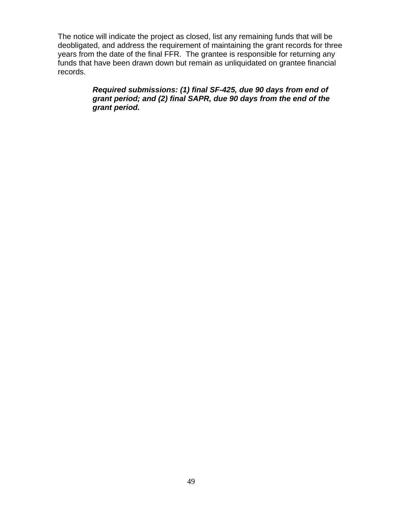The notice will indicate the project as closed, list any remaining funds that will be deobligated, and address the requirement of maintaining the grant records for three years from the date of the final FFR. The grantee is responsible for returning any funds that have been drawn down but remain as unliquidated on grantee financial records.

## *Required submissions: (1) final SF-425, due 90 days from end of grant period; and (2) final SAPR, due 90 days from the end of the grant period.*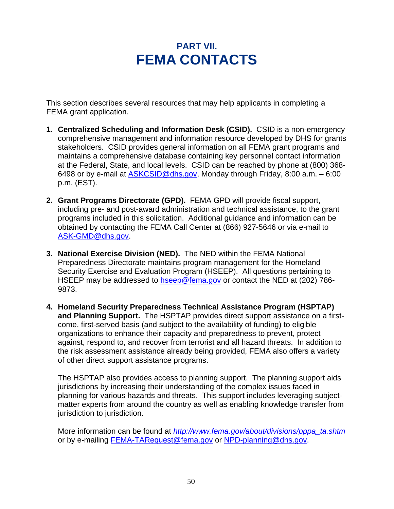## **PART VII. FEMA CONTACTS**

This section describes several resources that may help applicants in completing a FEMA grant application.

- **1. Centralized Scheduling and Information Desk (CSID).** CSID is a non-emergency comprehensive management and information resource developed by DHS for grants stakeholders. CSID provides general information on all FEMA grant programs and maintains a comprehensive database containing key personnel contact information at the Federal, State, and local levels. CSID can be reached by phone at (800) 368- 6498 or by e-mail at  $ASKCSID@dhs.gov$ , Monday through Friday, 8:00 a.m.  $-6:00$ p.m. (EST).
- **2. Grant Programs Directorate (GPD).** FEMA GPD will provide fiscal support, including pre- and post-award administration and technical assistance, to the grant programs included in this solicitation. Additional guidance and information can be obtained by contacting the FEMA Call Center at (866) 927-5646 or via e-mail to ASK-GMD@dhs.gov.
- **3. National Exercise Division (NED).** The NED within the FEMA National Preparedness Directorate maintains program management for the Homeland Security Exercise and Evaluation Program (HSEEP). All questions pertaining to HSEEP may be addressed to hseep@fema.gov or contact the NED at (202) 786-9873.
- **4. Homeland Security Preparedness Technical Assistance Program (HSPTAP) and Planning Support.** The HSPTAP provides direct support assistance on a firstcome, first-served basis (and subject to the availability of funding) to eligible organizations to enhance their capacity and preparedness to prevent, protect against, respond to, and recover from terrorist and all hazard threats. In addition to the risk assessment assistance already being provided, FEMA also offers a variety of other direct support assistance programs.

The HSPTAP also provides access to planning support. The planning support aids jurisdictions by increasing their understanding of the complex issues faced in planning for various hazards and threats. This support includes leveraging subjectmatter experts from around the country as well as enabling knowledge transfer from jurisdiction to jurisdiction.

More information can be found at *http://www.fema.gov/about/divisions/pppa\_ta.shtm* or by e-mailing FEMA-TARequest@fema.gov or NPD-planning@dhs.gov.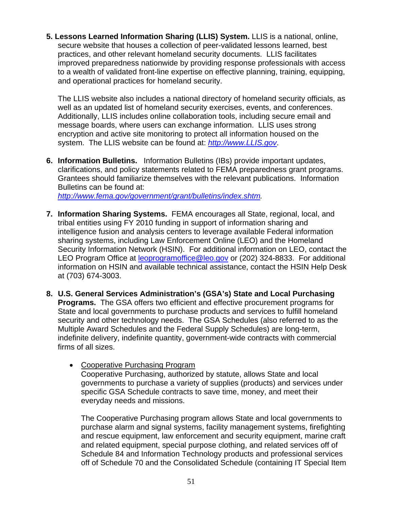**5. Lessons Learned Information Sharing (LLIS) System.** LLIS is a national, online, secure website that houses a collection of peer-validated lessons learned, best practices, and other relevant homeland security documents. LLIS facilitates improved preparedness nationwide by providing response professionals with access to a wealth of validated front-line expertise on effective planning, training, equipping, and operational practices for homeland security.

The LLIS website also includes a national directory of homeland security officials, as well as an updated list of homeland security exercises, events, and conferences. Additionally, LLIS includes online collaboration tools, including secure email and message boards, where users can exchange information. LLIS uses strong encryption and active site monitoring to protect all information housed on the system. The LLIS website can be found at: *http://www.LLIS.gov*.

**6. Information Bulletins.** Information Bulletins (IBs) provide important updates, clarifications, and policy statements related to FEMA preparedness grant programs. Grantees should familiarize themselves with the relevant publications. Information Bulletins can be found at: *http://www.fema.gov/government/grant/bulletins/index.shtm.*

**7. Information Sharing Systems.** FEMA encourages all State, regional, local, and tribal entities using FY 2010 funding in support of information sharing and intelligence fusion and analysis centers to leverage available Federal information sharing systems, including Law Enforcement Online (LEO) and the Homeland Security Information Network (HSIN). For additional information on LEO, contact the LEO Program Office at leoprogramoffice@leo.gov or (202) 324-8833. For additional information on HSIN and available technical assistance, contact the HSIN Help Desk

at (703) 674-3003.

- **8. U.S. General Services Administration's (GSA's) State and Local Purchasing Programs.** The GSA offers two efficient and effective procurement programs for State and local governments to purchase products and services to fulfill homeland security and other technology needs. The GSA Schedules (also referred to as the Multiple Award Schedules and the Federal Supply Schedules) are long-term, indefinite delivery, indefinite quantity, government-wide contracts with commercial firms of all sizes.
	- Cooperative Purchasing Program Cooperative Purchasing, authorized by statute, allows State and local governments to purchase a variety of supplies (products) and services under specific GSA Schedule contracts to save time, money, and meet their everyday needs and missions.

The Cooperative Purchasing program allows State and local governments to purchase alarm and signal systems, facility management systems, firefighting and rescue equipment, law enforcement and security equipment, marine craft and related equipment, special purpose clothing, and related services off of Schedule 84 and Information Technology products and professional services off of Schedule 70 and the Consolidated Schedule (containing IT Special Item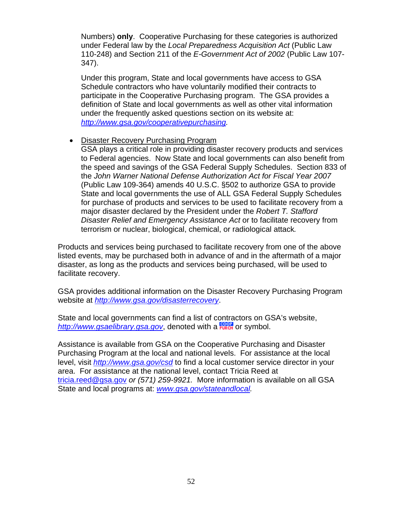Numbers) **only**. Cooperative Purchasing for these categories is authorized under Federal law by the *Local Preparedness Acquisition Act* (Public Law 110-248) and Section 211 of the *E-Government Act of 2002* (Public Law 107- 347).

Under this program, State and local governments have access to GSA Schedule contractors who have voluntarily modified their contracts to participate in the Cooperative Purchasing program. The GSA provides a definition of State and local governments as well as other vital information under the frequently asked questions section on its website at: *http://www.gsa.gov/cooperativepurchasing.*

### • Disaster Recovery Purchasing Program

GSA plays a critical role in providing disaster recovery products and services to Federal agencies. Now State and local governments can also benefit from the speed and savings of the GSA Federal Supply Schedules. Section 833 of the *John Warner National Defense Authorization Act for Fiscal Year 2007* (Public Law 109-364) amends 40 U.S.C. §502 to authorize GSA to provide State and local governments the use of ALL GSA Federal Supply Schedules for purchase of products and services to be used to facilitate recovery from a major disaster declared by the President under the *Robert T. Stafford Disaster Relief and Emergency Assistance Act* or to facilitate recovery from terrorism or nuclear, biological, chemical, or radiological attack*.* 

Products and services being purchased to facilitate recovery from one of the above listed events, may be purchased both in advance of and in the aftermath of a major disaster, as long as the products and services being purchased, will be used to facilitate recovery.

GSA provides additional information on the Disaster Recovery Purchasing Program website at *http://www.gsa.gov/disasterrecovery*.

State and local governments can find a list of contractors on GSA's website, http://www.gsaelibrary.gsa.gov, denoted with a **Figure** or symbol.

Assistance is available from GSA on the Cooperative Purchasing and Disaster Purchasing Program at the local and national levels. For assistance at the local level, visit *http://www.gsa.gov/csd* to find a local customer service director in your area. For assistance at the national level, contact Tricia Reed at tricia.reed@gsa.gov *or (571) 259-9921.* More information is available on all GSA State and local programs at: *www.gsa.gov/stateandlocal.*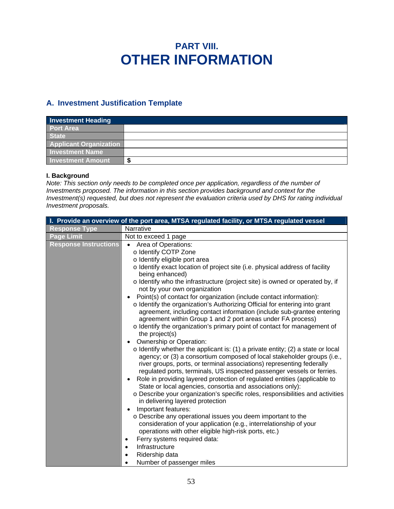## **PART VIII. OTHER INFORMATION**

## **A. Investment Justification Template**

| <b>Investment Heading</b>     |    |
|-------------------------------|----|
| <b>Port Area</b>              |    |
| <b>State</b>                  |    |
| <b>Applicant Organization</b> |    |
| <b>Investment Name</b>        |    |
| <b>Investment Amount</b>      | пD |

#### **I. Background**

*Note: This section only needs to be completed once per application, regardless of the number of Investments proposed. The information in this section provides background and context for the Investment(s) requested, but does not represent the evaluation criteria used by DHS for rating individual Investment proposals.* 

|                              | I. Provide an overview of the port area, MTSA regulated facility, or MTSA regulated vessel                                                                                                                                                                                                                                                                                                                                                                                                                                                                                                                                                                                                                                                                                                                                                                                                                                                                                                                                                                                                                                                                                                                                                                                                                                                                                                                                                                                                                                                                                                                                                                                                                                      |
|------------------------------|---------------------------------------------------------------------------------------------------------------------------------------------------------------------------------------------------------------------------------------------------------------------------------------------------------------------------------------------------------------------------------------------------------------------------------------------------------------------------------------------------------------------------------------------------------------------------------------------------------------------------------------------------------------------------------------------------------------------------------------------------------------------------------------------------------------------------------------------------------------------------------------------------------------------------------------------------------------------------------------------------------------------------------------------------------------------------------------------------------------------------------------------------------------------------------------------------------------------------------------------------------------------------------------------------------------------------------------------------------------------------------------------------------------------------------------------------------------------------------------------------------------------------------------------------------------------------------------------------------------------------------------------------------------------------------------------------------------------------------|
| <b>Response Type</b>         | Narrative                                                                                                                                                                                                                                                                                                                                                                                                                                                                                                                                                                                                                                                                                                                                                                                                                                                                                                                                                                                                                                                                                                                                                                                                                                                                                                                                                                                                                                                                                                                                                                                                                                                                                                                       |
| <b>Page Limit</b>            | Not to exceed 1 page                                                                                                                                                                                                                                                                                                                                                                                                                                                                                                                                                                                                                                                                                                                                                                                                                                                                                                                                                                                                                                                                                                                                                                                                                                                                                                                                                                                                                                                                                                                                                                                                                                                                                                            |
| <b>Response Instructions</b> | Area of Operations:<br>o Identify COTP Zone<br>o Identify eligible port area<br>o Identify exact location of project site (i.e. physical address of facility<br>being enhanced)<br>o Identify who the infrastructure (project site) is owned or operated by, if<br>not by your own organization<br>Point(s) of contact for organization (include contact information):<br>$\bullet$<br>o Identify the organization's Authorizing Official for entering into grant<br>agreement, including contact information (include sub-grantee entering<br>agreement within Group 1 and 2 port areas under FA process)<br>o Identify the organization's primary point of contact for management of<br>the project(s)<br>Ownership or Operation:<br>$\bullet$<br>$\circ$ Identify whether the applicant is: (1) a private entity; (2) a state or local<br>agency; or (3) a consortium composed of local stakeholder groups (i.e.,<br>river groups, ports, or terminal associations) representing federally<br>regulated ports, terminals, US inspected passenger vessels or ferries.<br>Role in providing layered protection of regulated entities (applicable to<br>$\bullet$<br>State or local agencies, consortia and associations only):<br>o Describe your organization's specific roles, responsibilities and activities<br>in delivering layered protection<br>Important features:<br>$\bullet$<br>o Describe any operational issues you deem important to the<br>consideration of your application (e.g., interrelationship of your<br>operations with other eligible high-risk ports, etc.)<br>Ferry systems required data:<br>$\bullet$<br>Infrastructure<br>$\bullet$<br>Ridership data<br>Number of passenger miles<br>$\bullet$ |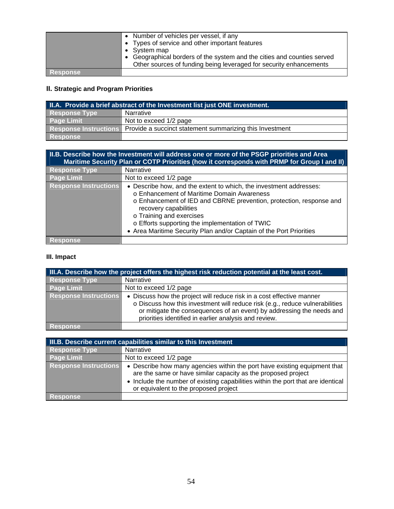|                 | Number of vehicles per vessel, if any<br>• Types of service and other important features<br>• System map<br>• Geographical borders of the system and the cities and counties served<br>Other sources of funding being leveraged for security enhancements |
|-----------------|-----------------------------------------------------------------------------------------------------------------------------------------------------------------------------------------------------------------------------------------------------------|
| <b>Response</b> |                                                                                                                                                                                                                                                           |

## **II. Strategic and Program Priorities**

| II.A. Provide a brief abstract of the Investment list just ONE investment. |                                                                                |  |
|----------------------------------------------------------------------------|--------------------------------------------------------------------------------|--|
| <b>Response Type</b>                                                       | Narrative                                                                      |  |
| <b>Page Limit</b>                                                          | Not to exceed 1/2 page                                                         |  |
|                                                                            | Response Instructions Provide a succinct statement summarizing this Investment |  |
| Response                                                                   |                                                                                |  |

| II.B. Describe how the Investment will address one or more of the PSGP priorities and Area<br>Maritime Security Plan or COTP Priorities (how it corresponds with PRMP for Group I and II) |                                                                                                                                                                                                                                                                                                                                                                        |  |
|-------------------------------------------------------------------------------------------------------------------------------------------------------------------------------------------|------------------------------------------------------------------------------------------------------------------------------------------------------------------------------------------------------------------------------------------------------------------------------------------------------------------------------------------------------------------------|--|
| <b>Response Type</b>                                                                                                                                                                      | Narrative                                                                                                                                                                                                                                                                                                                                                              |  |
| <b>Page Limit</b>                                                                                                                                                                         | Not to exceed 1/2 page                                                                                                                                                                                                                                                                                                                                                 |  |
| <b>Response Instructions</b>                                                                                                                                                              | • Describe how, and the extent to which, the investment addresses:<br>o Enhancement of Maritime Domain Awareness<br>o Enhancement of IED and CBRNE prevention, protection, response and<br>recovery capabilities<br>o Training and exercises<br>o Efforts supporting the implementation of TWIC<br>• Area Maritime Security Plan and/or Captain of the Port Priorities |  |
| <b>Response</b>                                                                                                                                                                           |                                                                                                                                                                                                                                                                                                                                                                        |  |

## **III. Impact**

| III.A. Describe how the project offers the highest risk reduction potential at the least cost. |                                                                                                                                                                                                                                                                                         |  |
|------------------------------------------------------------------------------------------------|-----------------------------------------------------------------------------------------------------------------------------------------------------------------------------------------------------------------------------------------------------------------------------------------|--|
| <b>Response Type</b>                                                                           | Narrative                                                                                                                                                                                                                                                                               |  |
| <b>Page Limit</b>                                                                              | Not to exceed 1/2 page                                                                                                                                                                                                                                                                  |  |
| <b>Response Instructions</b>                                                                   | • Discuss how the project will reduce risk in a cost effective manner<br>o Discuss how this investment will reduce risk (e.g., reduce vulnerabilities<br>or mitigate the consequences of an event) by addressing the needs and<br>priorities identified in earlier analysis and review. |  |
| <b>Response</b>                                                                                |                                                                                                                                                                                                                                                                                         |  |

| III.B. Describe current capabilities similar to this Investment |                                                                                                                                                                                                                                                                         |  |
|-----------------------------------------------------------------|-------------------------------------------------------------------------------------------------------------------------------------------------------------------------------------------------------------------------------------------------------------------------|--|
| Response Type                                                   | Narrative                                                                                                                                                                                                                                                               |  |
| <b>Page Limit</b>                                               | Not to exceed 1/2 page                                                                                                                                                                                                                                                  |  |
| <b>Response Instructions</b>                                    | • Describe how many agencies within the port have existing equipment that<br>are the same or have similar capacity as the proposed project<br>• Include the number of existing capabilities within the port that are identical<br>or equivalent to the proposed project |  |
| <b>Response</b>                                                 |                                                                                                                                                                                                                                                                         |  |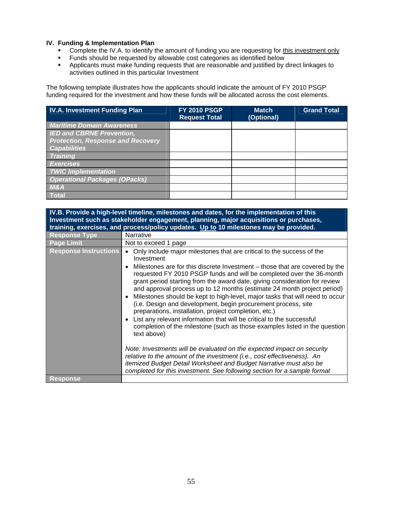#### **IV. Funding & Implementation Plan**

- Complete the IV.A. to identify the amount of funding you are requesting for this investment only
- Funds should be requested by allowable cost categories as identified below
- Applicants must make funding requests that are reasonable and justified by direct linkages to activities outlined in this particular Investment

The following template illustrates how the applicants should indicate the amount of FY 2010 PSGP funding required for the investment and how these funds will be allocated across the cost elements.

| <b>IV.A. Investment Funding Plan</b>     | <b>FY 2010 PSGP</b><br><b>Request Total</b> | <b>Match</b><br>(Optional) | <b>Grand Total</b> |
|------------------------------------------|---------------------------------------------|----------------------------|--------------------|
| <b>Maritime Domain Awareness</b>         |                                             |                            |                    |
| <b>IED and CBRNE Prevention,</b>         |                                             |                            |                    |
| <b>Protection, Response and Recovery</b> |                                             |                            |                    |
| <b>Capabilities</b>                      |                                             |                            |                    |
| <b>Training</b>                          |                                             |                            |                    |
| <b>Exercises</b>                         |                                             |                            |                    |
| <b>TWIC Implementation</b>               |                                             |                            |                    |
| <b>Operational Packages (OPacks)</b>     |                                             |                            |                    |
| <b>M&amp;A</b>                           |                                             |                            |                    |
| <b>Total</b>                             |                                             |                            |                    |

**IV.B. Provide a high-level timeline, milestones and dates, for the implementation of this Investment such as stakeholder engagement, planning, major acquisitions or purchases, training, exercises, and process/policy updates. Up to 10 milestones may be provided. Response Type | Narrative Page Limit Not to exceed 1 page** Response Instructions **•** Only include major milestones that are critical to the success of the Investment • Milestones are for this discrete Investment – those that are covered by the requested FY 2010 PSGP funds and will be completed over the 36-month grant period starting from the award date, giving consideration for review and approval process up to 12 months (estimate 24 month project period) Milestones should be kept to high-level, major tasks that will need to occur (i.e. Design and development, begin procurement process, site preparations, installation, project completion, etc.) List any relevant information that will be critical to the successful completion of the milestone (such as those examples listed in the question text above) *Note: Investments will be evaluated on the expected impact on security relative to the amount of the investment (i.e., cost effectiveness). An itemized Budget Detail Worksheet and Budget Narrative must also be completed for this investment. See following section for a sample format* **Response**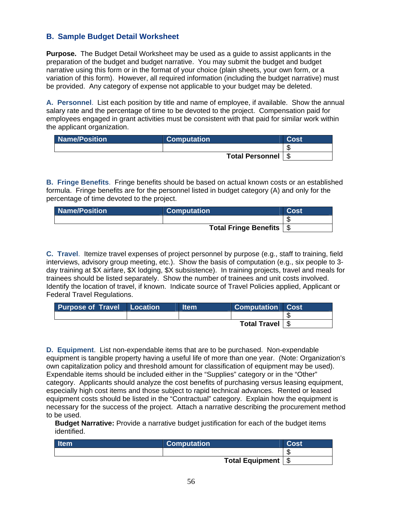## **B. Sample Budget Detail Worksheet**

**Purpose.** The Budget Detail Worksheet may be used as a guide to assist applicants in the preparation of the budget and budget narrative. You may submit the budget and budget narrative using this form or in the format of your choice (plain sheets, your own form, or a variation of this form). However, all required information (including the budget narrative) must be provided. Any category of expense not applicable to your budget may be deleted.

**A. Personnel**. List each position by title and name of employee, if available. Show the annual salary rate and the percentage of time to be devoted to the project. Compensation paid for employees engaged in grant activities must be consistent with that paid for similar work within the applicant organization.

| <b>Name/Position</b> | <b>Computation</b>   | Cost |
|----------------------|----------------------|------|
|                      |                      |      |
|                      | Total Personnel   \$ |      |

**B. Fringe Benefits**. Fringe benefits should be based on actual known costs or an established formula. Fringe benefits are for the personnel listed in budget category (A) and only for the percentage of time devoted to the project.

| <b>Name/Position</b> | <b>Computation</b>                  | Cost |
|----------------------|-------------------------------------|------|
|                      |                                     |      |
|                      | Total Fringe Benefits $\frac{1}{2}$ |      |

**C. Travel**. Itemize travel expenses of project personnel by purpose (e.g., staff to training, field interviews, advisory group meeting, etc.). Show the basis of computation (e.g., six people to 3 day training at \$X airfare, \$X lodging, \$X subsistence). In training projects, travel and meals for trainees should be listed separately. Show the number of trainees and unit costs involved. Identify the location of travel, if known. Indicate source of Travel Policies applied, Applicant or Federal Travel Regulations.

| <b>Purpose of Travel Location</b> | ltem' | Computation Cost           |  |
|-----------------------------------|-------|----------------------------|--|
|                                   |       |                            |  |
|                                   |       | Total Travel $\frac{1}{3}$ |  |

**D. Equipment**. List non-expendable items that are to be purchased. Non-expendable equipment is tangible property having a useful life of more than one year. (Note: Organization's own capitalization policy and threshold amount for classification of equipment may be used). Expendable items should be included either in the "Supplies" category or in the "Other" category. Applicants should analyze the cost benefits of purchasing versus leasing equipment, especially high cost items and those subject to rapid technical advances. Rented or leased equipment costs should be listed in the "Contractual" category. Explain how the equipment is necessary for the success of the project. Attach a narrative describing the procurement method to be used.

**Budget Narrative:** Provide a narrative budget justification for each of the budget items identified.

| l Item | <b>Computation</b>            | :ost |
|--------|-------------------------------|------|
|        |                               | мD   |
|        | Total Equipment $\frac{1}{2}$ |      |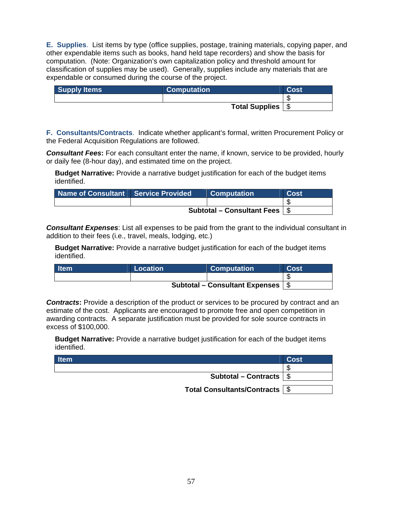**E. Supplies**. List items by type (office supplies, postage, training materials, copying paper, and other expendable items such as books, hand held tape recorders) and show the basis for computation. (Note: Organization's own capitalization policy and threshold amount for classification of supplies may be used). Generally, supplies include any materials that are expendable or consumed during the course of the project.

| <b>Supply Items</b> | <b>Computation</b>    | Cost |
|---------------------|-----------------------|------|
|                     |                       |      |
|                     | <b>Total Supplies</b> |      |

**F. Consultants/Contracts**. Indicate whether applicant's formal, written Procurement Policy or the Federal Acquisition Regulations are followed.

*Consultant Fees***:** For each consultant enter the name, if known, service to be provided, hourly or daily fee (8-hour day), and estimated time on the project.

**Budget Narrative:** Provide a narrative budget justification for each of the budget items identified.

| Name of Consultant   Service Provided    |  | <b>Computation</b> | Cost |
|------------------------------------------|--|--------------------|------|
|                                          |  |                    |      |
| Subtotal – Consultant Fees $\frac{1}{3}$ |  |                    |      |

*Consultant Expenses*: List all expenses to be paid from the grant to the individual consultant in addition to their fees (i.e., travel, meals, lodging, etc.)

**Budget Narrative:** Provide a narrative budget justification for each of the budget items identified.

| <b>Item</b> | Location <sup>1</sup>                        | <b>Computation</b> | Cost |
|-------------|----------------------------------------------|--------------------|------|
|             |                                              |                    |      |
|             | Subtotal – Consultant Expenses $\frac{1}{3}$ |                    |      |

**Contracts:** Provide a description of the product or services to be procured by contract and an estimate of the cost. Applicants are encouraged to promote free and open competition in awarding contracts. A separate justification must be provided for sole source contracts in excess of \$100,000.

**Budget Narrative:** Provide a narrative budget justification for each of the budget items identified.

| <b>Item</b>                        | Cost |
|------------------------------------|------|
|                                    |      |
| Subtotal – Contracts $\frac{1}{2}$ |      |
| Total Consultants/Contracts   \$   |      |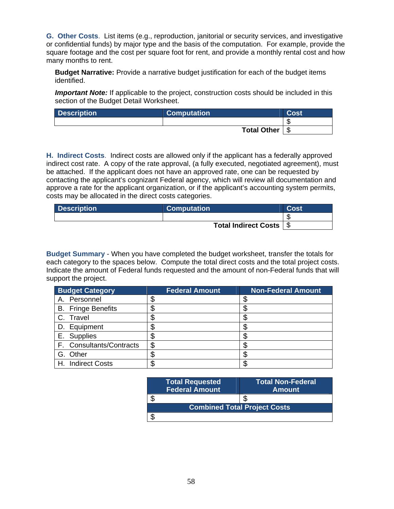**G. Other Costs**. List items (e.g., reproduction, janitorial or security services, and investigative or confidential funds) by major type and the basis of the computation. For example, provide the square footage and the cost per square foot for rent, and provide a monthly rental cost and how many months to rent.

**Budget Narrative:** Provide a narrative budget justification for each of the budget items identified.

*Important Note:* If applicable to the project, construction costs should be included in this section of the Budget Detail Worksheet.

| <b>Description</b> | <b>Computation</b> | Cost |
|--------------------|--------------------|------|
|                    |                    |      |
|                    | <b>Total Other</b> |      |

**H. Indirect Costs**. Indirect costs are allowed only if the applicant has a federally approved indirect cost rate. A copy of the rate approval, (a fully executed, negotiated agreement), must be attached. If the applicant does not have an approved rate, one can be requested by contacting the applicant's cognizant Federal agency, which will review all documentation and approve a rate for the applicant organization, or if the applicant's accounting system permits, costs may be allocated in the direct costs categories.

| <b>Description</b> | <b>Computation</b>        | <b>Cost</b> |
|--------------------|---------------------------|-------------|
|                    |                           |             |
|                    | Total Indirect Costs   \$ |             |

**Budget Summary** - When you have completed the budget worksheet, transfer the totals for each category to the spaces below. Compute the total direct costs and the total project costs. Indicate the amount of Federal funds requested and the amount of non-Federal funds that will support the project.

| <b>Budget Category</b>    | <b>Federal Amount</b> | <b>Non-Federal Amount</b> |
|---------------------------|-----------------------|---------------------------|
| A. Personnel              |                       |                           |
| <b>B.</b> Fringe Benefits | Œ                     |                           |
| C. Travel                 | ۰D                    |                           |
| D. Equipment              |                       |                           |
| E. Supplies               |                       |                           |
| F. Consultants/Contracts  | \$                    |                           |
| G. Other                  | J                     |                           |
| H. Indirect Costs         |                       |                           |

|  | <b>Total Requested</b><br><b>Federal Amount</b> | <b>Total Non-Federal</b><br><b>Amount</b> |
|--|-------------------------------------------------|-------------------------------------------|
|  |                                                 |                                           |
|  | <b>Combined Total Project Costs</b>             |                                           |
|  |                                                 |                                           |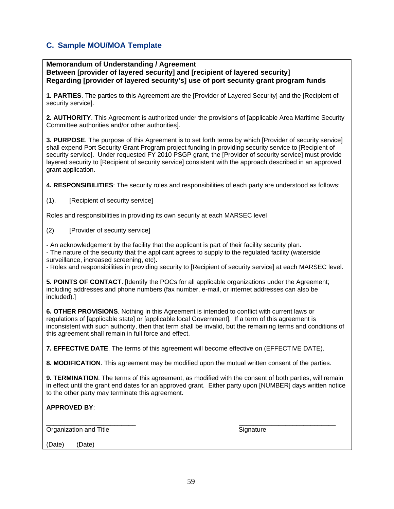## **C. Sample MOU/MOA Template**

**Memorandum of Understanding / Agreement Between [provider of layered security] and [recipient of layered security] Regarding [provider of layered security's] use of port security grant program funds**

**1. PARTIES**. The parties to this Agreement are the [Provider of Layered Security] and the [Recipient of security service].

**2. AUTHORITY**. This Agreement is authorized under the provisions of [applicable Area Maritime Security Committee authorities and/or other authorities].

**3. PURPOSE**. The purpose of this Agreement is to set forth terms by which [Provider of security service] shall expend Port Security Grant Program project funding in providing security service to [Recipient of security service]. Under requested FY 2010 PSGP grant, the [Provider of security service] must provide layered security to [Recipient of security service] consistent with the approach described in an approved grant application.

**4. RESPONSIBILITIES**: The security roles and responsibilities of each party are understood as follows:

(1). [Recipient of security service]

Roles and responsibilities in providing its own security at each MARSEC level

(2) [Provider of security service]

- An acknowledgement by the facility that the applicant is part of their facility security plan. - The nature of the security that the applicant agrees to supply to the regulated facility (waterside surveillance, increased screening, etc).

- Roles and responsibilities in providing security to [Recipient of security service] at each MARSEC level.

**5. POINTS OF CONTACT**. [Identify the POCs for all applicable organizations under the Agreement; including addresses and phone numbers (fax number, e-mail, or internet addresses can also be included).]

**6. OTHER PROVISIONS**. Nothing in this Agreement is intended to conflict with current laws or regulations of [applicable state] or [applicable local Government]. If a term of this agreement is inconsistent with such authority, then that term shall be invalid, but the remaining terms and conditions of this agreement shall remain in full force and effect.

**7. EFFECTIVE DATE**. The terms of this agreement will become effective on (EFFECTIVE DATE).

**8. MODIFICATION**. This agreement may be modified upon the mutual written consent of the parties.

**9. TERMINATION**. The terms of this agreement, as modified with the consent of both parties, will remain in effect until the grant end dates for an approved grant. Either party upon [NUMBER] days written notice to the other party may terminate this agreement.

**APPROVED BY**:

\_\_\_\_\_\_\_\_\_\_\_\_\_\_\_\_\_\_\_\_\_\_\_\_\_ \_\_\_\_\_\_\_\_\_\_\_\_\_\_\_\_\_\_\_\_\_\_\_\_\_\_\_ Organization and Title **Signature** Signature

(Date) (Date)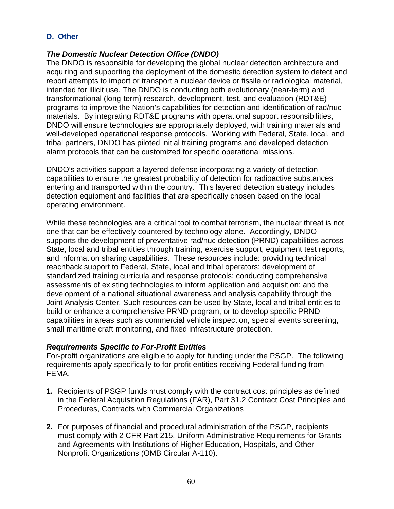## **D. Other**

## *The Domestic Nuclear Detection Office (DNDO)*

The DNDO is responsible for developing the global nuclear detection architecture and acquiring and supporting the deployment of the domestic detection system to detect and report attempts to import or transport a nuclear device or fissile or radiological material, intended for illicit use. The DNDO is conducting both evolutionary (near-term) and transformational (long-term) research, development, test, and evaluation (RDT&E) programs to improve the Nation's capabilities for detection and identification of rad/nuc materials. By integrating RDT&E programs with operational support responsibilities, DNDO will ensure technologies are appropriately deployed, with training materials and well-developed operational response protocols. Working with Federal, State, local, and tribal partners, DNDO has piloted initial training programs and developed detection alarm protocols that can be customized for specific operational missions.

DNDO's activities support a layered defense incorporating a variety of detection capabilities to ensure the greatest probability of detection for radioactive substances entering and transported within the country. This layered detection strategy includes detection equipment and facilities that are specifically chosen based on the local operating environment.

While these technologies are a critical tool to combat terrorism, the nuclear threat is not one that can be effectively countered by technology alone. Accordingly, DNDO supports the development of preventative rad/nuc detection (PRND) capabilities across State, local and tribal entities through training, exercise support, equipment test reports, and information sharing capabilities. These resources include: providing technical reachback support to Federal, State, local and tribal operators; development of standardized training curricula and response protocols; conducting comprehensive assessments of existing technologies to inform application and acquisition; and the development of a national situational awareness and analysis capability through the Joint Analysis Center. Such resources can be used by State, local and tribal entities to build or enhance a comprehensive PRND program, or to develop specific PRND capabilities in areas such as commercial vehicle inspection, special events screening, small maritime craft monitoring, and fixed infrastructure protection.

### *Requirements Specific to For-Profit Entities*

For-profit organizations are eligible to apply for funding under the PSGP. The following requirements apply specifically to for-profit entities receiving Federal funding from FEMA.

- **1.** Recipients of PSGP funds must comply with the contract cost principles as defined in the Federal Acquisition Regulations (FAR), Part 31.2 Contract Cost Principles and Procedures, Contracts with Commercial Organizations
- **2.** For purposes of financial and procedural administration of the PSGP, recipients must comply with 2 CFR Part 215, Uniform Administrative Requirements for Grants and Agreements with Institutions of Higher Education, Hospitals, and Other Nonprofit Organizations (OMB Circular A-110).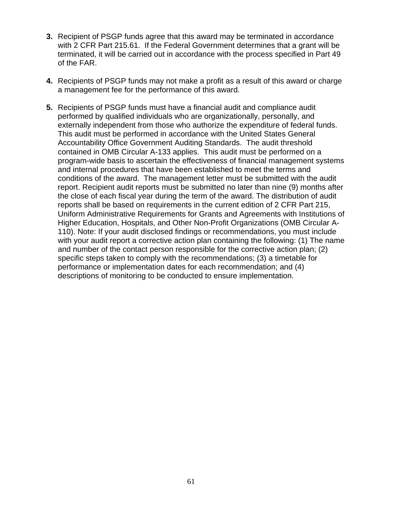- **3.** Recipient of PSGP funds agree that this award may be terminated in accordance with 2 CFR Part 215.61. If the Federal Government determines that a grant will be terminated, it will be carried out in accordance with the process specified in Part 49 of the FAR.
- **4.** Recipients of PSGP funds may not make a profit as a result of this award or charge a management fee for the performance of this award.
- **5.** Recipients of PSGP funds must have a financial audit and compliance audit performed by qualified individuals who are organizationally, personally, and externally independent from those who authorize the expenditure of federal funds. This audit must be performed in accordance with the United States General Accountability Office Government Auditing Standards. The audit threshold contained in OMB Circular A-133 applies. This audit must be performed on a program-wide basis to ascertain the effectiveness of financial management systems and internal procedures that have been established to meet the terms and conditions of the award. The management letter must be submitted with the audit report. Recipient audit reports must be submitted no later than nine (9) months after the close of each fiscal year during the term of the award. The distribution of audit reports shall be based on requirements in the current edition of 2 CFR Part 215, Uniform Administrative Requirements for Grants and Agreements with Institutions of Higher Education, Hospitals, and Other Non-Profit Organizations (OMB Circular A-110). Note: If your audit disclosed findings or recommendations, you must include with your audit report a corrective action plan containing the following: (1) The name and number of the contact person responsible for the corrective action plan; (2) specific steps taken to comply with the recommendations; (3) a timetable for performance or implementation dates for each recommendation; and (4) descriptions of monitoring to be conducted to ensure implementation.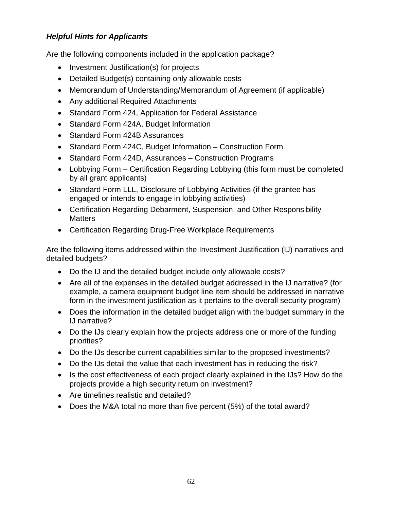## *Helpful Hints for Applicants*

Are the following components included in the application package?

- Investment Justification(s) for projects
- Detailed Budget(s) containing only allowable costs
- Memorandum of Understanding/Memorandum of Agreement (if applicable)
- Any additional Required Attachments
- Standard Form 424, Application for Federal Assistance
- Standard Form 424A, Budget Information
- Standard Form 424B Assurances
- Standard Form 424C, Budget Information Construction Form
- Standard Form 424D, Assurances Construction Programs
- Lobbying Form Certification Regarding Lobbying (this form must be completed by all grant applicants)
- Standard Form LLL, Disclosure of Lobbying Activities (if the grantee has engaged or intends to engage in lobbying activities)
- Certification Regarding Debarment, Suspension, and Other Responsibility **Matters**
- Certification Regarding Drug-Free Workplace Requirements

Are the following items addressed within the Investment Justification (IJ) narratives and detailed budgets?

- Do the IJ and the detailed budget include only allowable costs?
- Are all of the expenses in the detailed budget addressed in the IJ narrative? (for example, a camera equipment budget line item should be addressed in narrative form in the investment justification as it pertains to the overall security program)
- Does the information in the detailed budget align with the budget summary in the IJ narrative?
- Do the IJs clearly explain how the projects address one or more of the funding priorities?
- Do the IJs describe current capabilities similar to the proposed investments?
- Do the IJs detail the value that each investment has in reducing the risk?
- Is the cost effectiveness of each project clearly explained in the IJs? How do the projects provide a high security return on investment?
- Are timelines realistic and detailed?
- Does the M&A total no more than five percent (5%) of the total award?